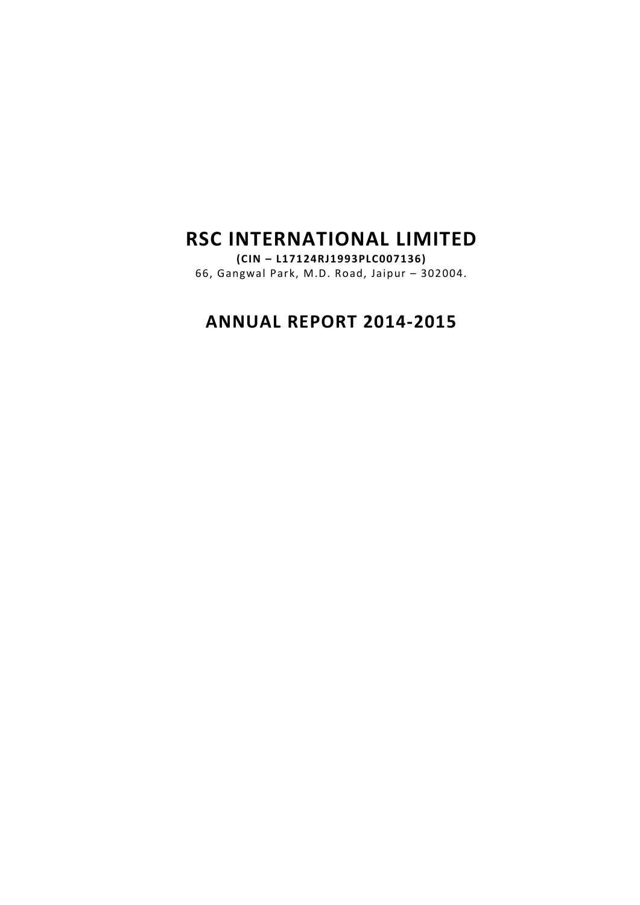# RSC INTERNATIONAL LIMITED

(CIN – L17124RJ1993PLC007136) 66, Gangwal Park, M.D. Road, Jaipur – 302004.

# ANNUAL REPORT 2014-2015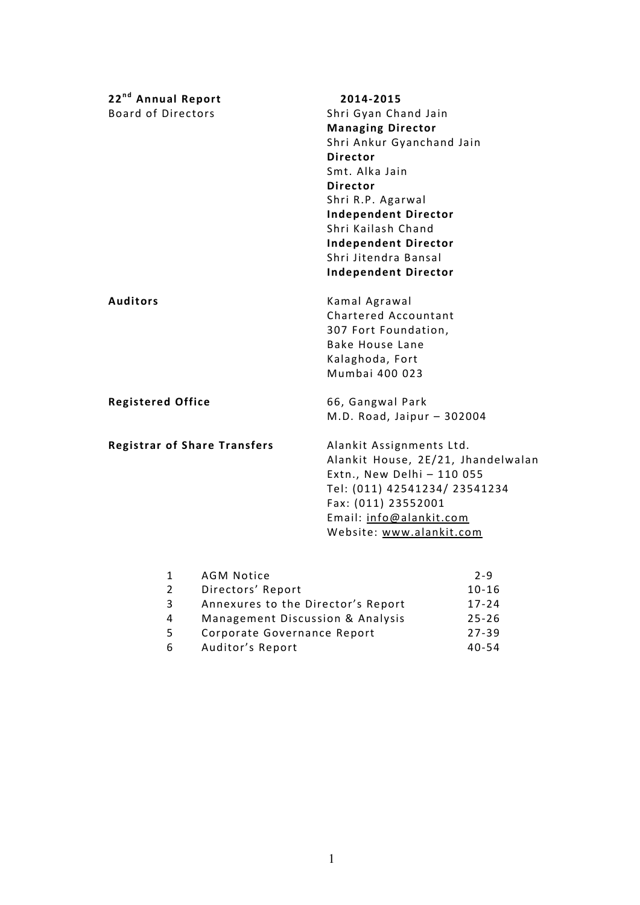| 22 <sup>nd</sup> Annual Report |                                     | 2014-2015                          |           |  |
|--------------------------------|-------------------------------------|------------------------------------|-----------|--|
| <b>Board of Directors</b>      |                                     | Shri Gyan Chand Jain               |           |  |
|                                |                                     | <b>Managing Director</b>           |           |  |
|                                |                                     | Shri Ankur Gyanchand Jain          |           |  |
|                                |                                     | <b>Director</b>                    |           |  |
|                                |                                     | Smt. Alka Jain                     |           |  |
|                                |                                     | <b>Director</b>                    |           |  |
|                                |                                     | Shri R.P. Agarwal                  |           |  |
|                                |                                     | <b>Independent Director</b>        |           |  |
|                                |                                     | Shri Kailash Chand                 |           |  |
|                                |                                     | <b>Independent Director</b>        |           |  |
|                                |                                     | Shri Jitendra Bansal               |           |  |
|                                |                                     | <b>Independent Director</b>        |           |  |
| <b>Auditors</b>                |                                     | Kamal Agrawal                      |           |  |
|                                |                                     | Chartered Accountant               |           |  |
|                                |                                     | 307 Fort Foundation,               |           |  |
|                                |                                     | <b>Bake House Lane</b>             |           |  |
|                                |                                     | Kalaghoda, Fort                    |           |  |
|                                |                                     | Mumbai 400 023                     |           |  |
| <b>Registered Office</b>       |                                     | 66, Gangwal Park                   |           |  |
|                                |                                     | M.D. Road, Jaipur - 302004         |           |  |
|                                | <b>Registrar of Share Transfers</b> | Alankit Assignments Ltd.           |           |  |
|                                |                                     | Alankit House, 2E/21, Jhandelwalan |           |  |
|                                |                                     | Extn., New Delhi - 110 055         |           |  |
|                                |                                     | Tel: (011) 42541234/ 23541234      |           |  |
|                                |                                     | Fax: (011) 23552001                |           |  |
|                                |                                     | Email: info@alankit.com            |           |  |
|                                |                                     | Website: www.alankit.com           |           |  |
|                                |                                     |                                    |           |  |
| 1                              | <b>AGM Notice</b>                   |                                    | $2 - 9$   |  |
| $\overline{2}$                 | Directors' Report                   |                                    | $10 - 16$ |  |
| 3                              | Annexures to the Director's Report  |                                    | $17 - 24$ |  |
| $\overline{\mathbf{4}}$<br>5   | Management Discussion & Analysis    |                                    | $25 - 26$ |  |
|                                | Corporate Governance Report         |                                    | $27 - 39$ |  |

6 Auditor's Report 40-54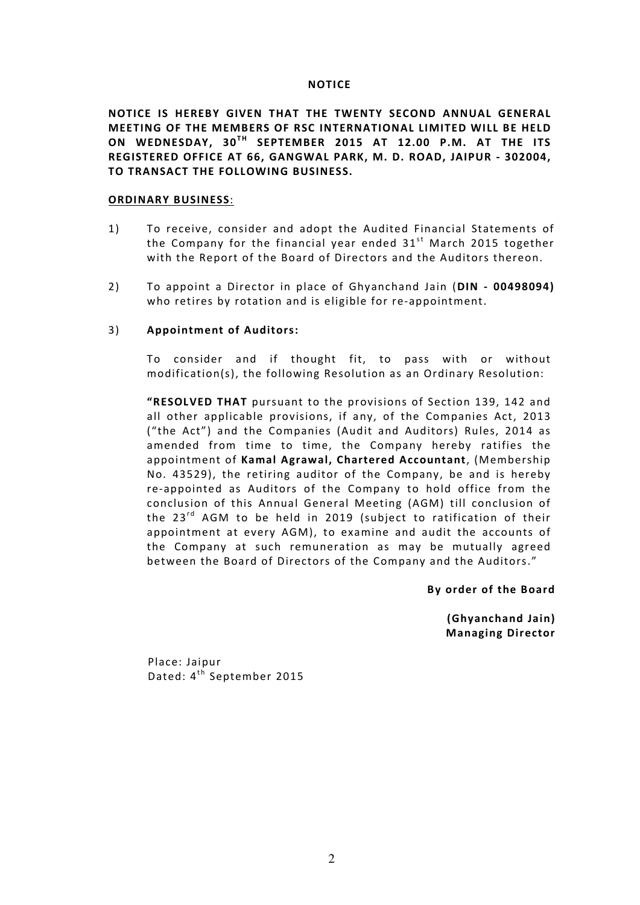#### **NOTICE**

NOTICE IS HEREBY GIVEN THAT THE TWENTY SECOND ANNUAL GENERAL MEETING OF THE MEMBERS OF RSC INTERNATIONAL LIMITED WILL BE HELD ON WEDNESDAY, 30<sup>TH</sup> SEPTEMBER 2015 AT 12.00 P.M. AT THE ITS REGISTERED OFFICE AT 66, GANGWAL PARK, M. D. ROAD, JAIPUR - 302004, TO TRANSACT THE FOLLOWING BUSINESS.

#### ORDINARY BUSINESS:

- 1) To receive, consider and adopt the Audited Financial Statements of the Company for the financial year ended  $31<sup>st</sup>$  March 2015 together with the Report of the Board of Directors and the Auditors thereon.
- 2) To appoint a Director in place of Ghyanchand Jain (DIN 00498094) who retires by rotation and is eligible for re-appointment.

#### 3) Appointment of Auditors:

To consider and if thought fit, to pass with or without modification(s), the following Resolution as an Ordinary Resolution:

"RESOLVED THAT pursuant to the provisions of Section 139, 142 and all other applicable provisions, if any, of the Companies Act, 2013 ("the Act") and the Companies (Audit and Auditors) Rules, 2014 as amended from time to time, the Company hereby ratifies the appointment of Kamal Agrawal, Chartered Accountant, (Membership No. 43529), the retiring auditor of the Company, be and is hereby re-appointed as Auditors of the Company to hold office from the conclusion of this Annual General Meeting (AGM) till conclusion of the  $23^{rd}$  AGM to be held in 2019 (subject to ratification of their appointment at every AGM), to examine and audit the accounts of the Company at such remuneration as may be mutually agreed between the Board of Directors of the Company and the Auditors."

By order of the Board

 (Ghyanchand Jain) Managing Director

Place: Jaipur Dated: 4<sup>th</sup> September 2015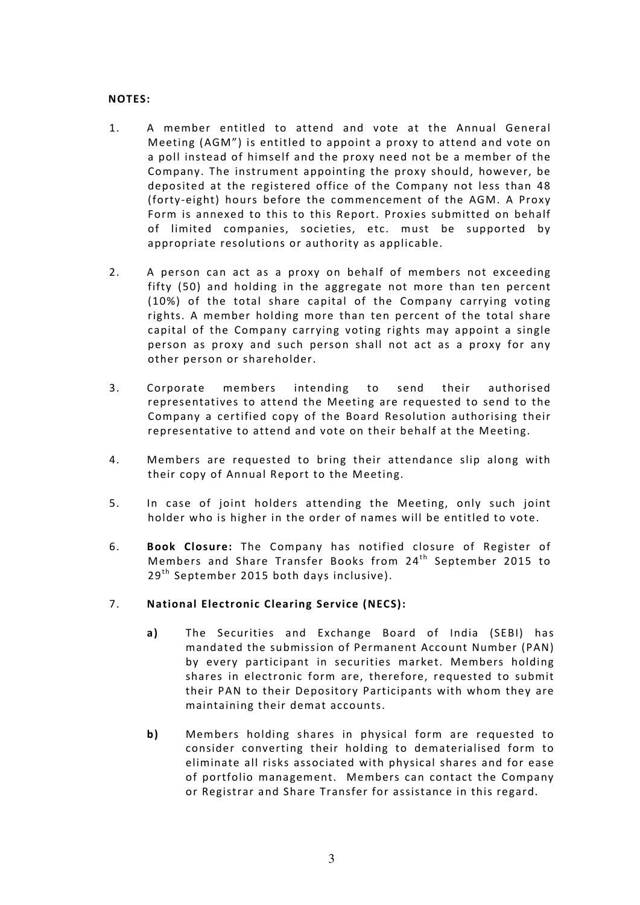## NOTES:

- 1. A member entitled to attend and vote at the Annual General Meeting (AGM") is entitled to appoint a proxy to attend and vote on a poll instead of himself and the proxy need not be a member of the Company. The instrument appointing the proxy should, however, be deposited at the registered office of the Company not less than 48 (forty-eight) hours before the commencement of the AGM. A Proxy Form is annexed to this to this Report. Proxies submitted on behalf of limited companies, societies, etc. must be supported by appropriate resolutions or authority as applicable.
- 2. A person can act as a proxy on behalf of members not exceeding fifty (50) and holding in the aggregate not more than ten percent (10%) of the total share capital of the Company carrying voting rights. A member holding more than ten percent of the total share capital of the Company carrying voting rights may appoint a single person as proxy and such person shall not act as a proxy for any other person or shareholder.
- 3. Corporate members intending to send their authorised representatives to attend the Meeting are requested to send to the Company a certified copy of the Board Resolution authorising their representative to attend and vote on their behalf at the Meeting.
- 4. Members are requested to bring their attendance slip along with their copy of Annual Report to the Meeting.
- 5. In case of joint holders attending the Meeting, only such joint holder who is higher in the order of names will be entitled to vote.
- 6. Book Closure: The Company has notified closure of Register of Members and Share Transfer Books from 24<sup>th</sup> September 2015 to  $29<sup>th</sup>$  September 2015 both days inclusive).
- 7. National Electronic Clearing Service (NECS):
	- a) The Securities and Exchange Board of India (SEBI) has mandated the submission of Permanent Account Number (PAN) by every participant in securities market. Members holding shares in electronic form are, therefore, requested to submit their PAN to their Depository Participants with whom they are maintaining their demat accounts.
	- b) Members holding shares in physical form are requested to consider converting their holding to dematerialised form to eliminate all risks associated with physical shares and for ease of portfolio management. Members can contact the Company or Registrar and Share Transfer for assistance in this regard.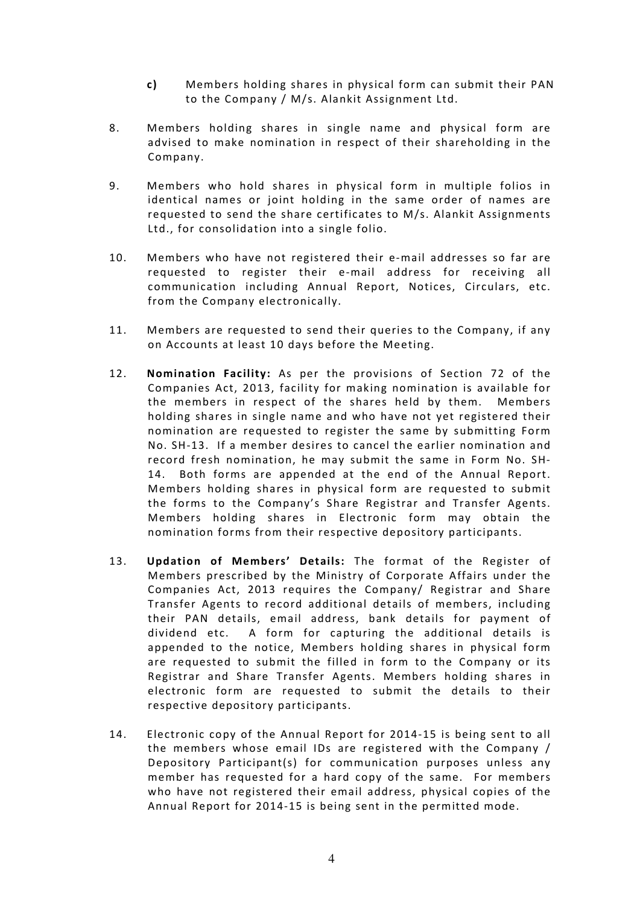- c) Members holding shares in physical form can submit their PAN to the Company / M/s. Alankit Assignment Ltd.
- 8. Members holding shares in single name and physical form are advised to make nomination in respect of their shareholding in the Company.
- 9. Members who hold shares in physical form in multiple folios in identical names or joint holding in the same order of names are requested to send the share certificates to M/s. Alankit Assignments Ltd., for consolidation into a single folio.
- 10. Members who have not registered their e-mail addresses so far are requested to register their e-mail address for receiving all communication including Annual Report, Notices, Circulars, etc. from the Company electronically.
- 11. Members are requested to send their queries to the Company, if any on Accounts at least 10 days before the Meeting.
- 12. Nomination Facility: As per the provisions of Section 72 of the Companies Act, 2013, facility for making nomination is available for the members in respect of the shares held by them. Members holding shares in single name and who have not yet registered their nomination are requested to register the same by submitting Form No. SH-13. If a member desires to cancel the earlier nomination and record fresh nomination, he may submit the same in Form No. SH-14. Both forms are appended at the end of the Annual Report. Members holding shares in physical form are requested to submit the forms to the Company's Share Registrar and Transfer Agents. Members holding shares in Electronic form may obtain the nomination forms from their respective depository participants.
- 13. Updation of Members' Details: The format of the Register of Members prescribed by the Ministry of Corporate Affairs under the Companies Act, 2013 requires the Company/ Registrar and Share Transfer Agents to record additional details of members, including their PAN details, email address, bank details for payment of dividend etc. A form for capturing the additional details is appended to the notice, Members holding shares in physical form are requested to submit the filled in form to the Company or its Registrar and Share Transfer Agents. Members holding shares in electronic form are requested to submit the details to their respective depository participants.
- 14. Electronic copy of the Annual Report for 2014-15 is being sent to all the members whose email IDs are registered with the Company / Depository Participant(s) for communication purposes unless any member has requested for a hard copy of the same. For members who have not registered their email address, physical copies of the Annual Report for 2014-15 is being sent in the permitted mode.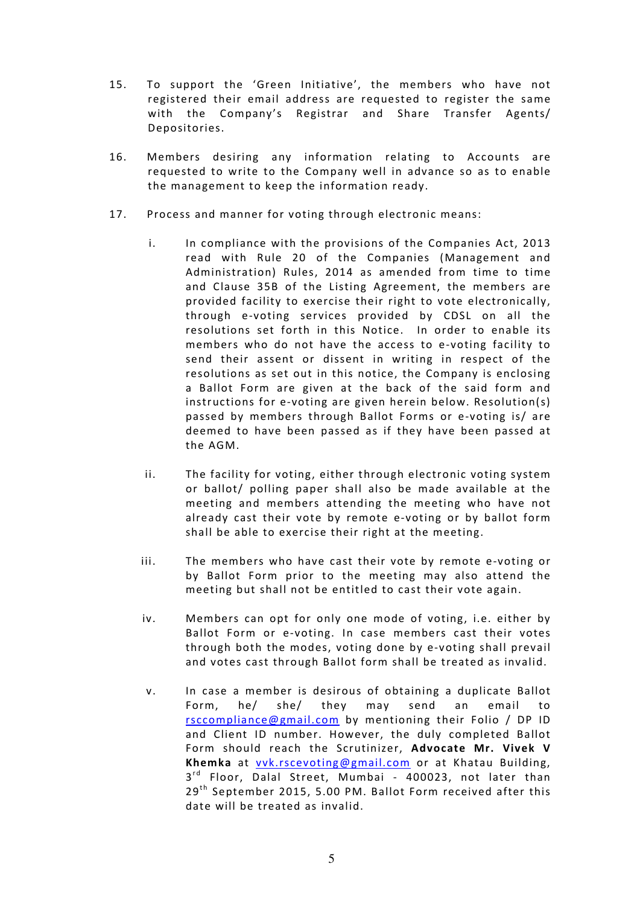- 15. To support the 'Green Initiative', the members who have not registered their email address are requested to register the same with the Company's Registrar and Share Transfer Agents/ Depositories.
- 16. Members desiring any information relating to Accounts are requested to write to the Company well in advance so as to enable the management to keep the information ready.
- 17. Process and manner for voting through electronic means:
	- i. In compliance with the provisions of the Companies Act, 2013 read with Rule 20 of the Companies (Management and Administration) Rules, 2014 as amended from time to time and Clause 35B of the Listing Agreement, the members are provided facility to exercise their right to vote electronically, through e-voting services provided by CDSL on all the resolutions set forth in this Notice. In order to enable its members who do not have the access to e-voting facility to send their assent or dissent in writing in respect of the resolutions as set out in this notice, the Company is enclosing a Ballot Form are given at the back of the said form and instructions for e-voting are given herein below. Resolution(s) passed by members through Ballot Forms or e-voting is/ are deemed to have been passed as if they have been passed at the AGM.
	- ii. The facility for voting, either through electronic voting system or ballot/ polling paper shall also be made available at the meeting and members attending the meeting who have not already cast their vote by remote e-voting or by ballot form shall be able to exercise their right at the meeting.
	- iii. The members who have cast their vote by remote e-voting or by Ballot Form prior to the meeting may also attend the meeting but shall not be entitled to cast their vote again.
	- iv. Members can opt for only one mode of voting, i.e. either by Ballot Form or e-voting. In case members cast their votes through both the modes, voting done by e-voting shall prevail and votes cast through Ballot form shall be treated as invalid.
	- v. In case a member is desirous of obtaining a duplicate Ballot Form, he/ she/ they may send an email to rsccompliance@gmail.com by mentioning their Folio / DP ID and Client ID number. However, the duly completed Ballot Form should reach the Scrutinizer, Advocate Mr. Vivek V Khemka at vvk.rscevoting@gmail.com or at Khatau Building, 3<sup>rd</sup> Floor, Dalal Street, Mumbai - 400023, not later than  $29<sup>th</sup>$  September 2015, 5.00 PM. Ballot Form received after this date will be treated as invalid.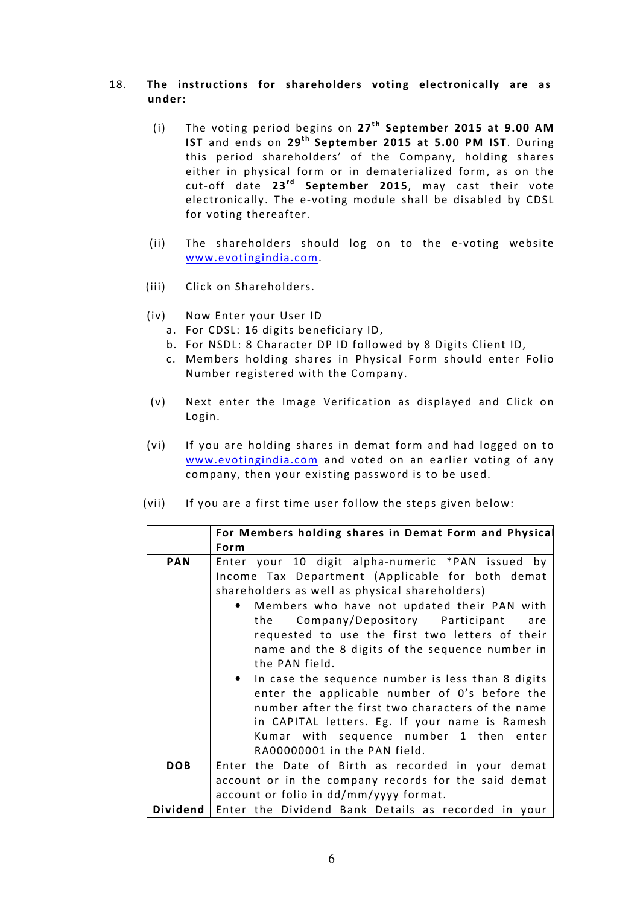# 18. The instructions for shareholders voting electronically are as under:

- (i) The voting period begins on  $27<sup>th</sup>$  September 2015 at 9.00 AM IST and ends on 29<sup>th</sup> September 2015 at 5.00 PM IST. During this period shareholders' of the Company, holding shares either in physical form or in dematerialized form, as on the cut-off date  $23^{rd}$  September 2015, may cast their vote electronically. The e-voting module shall be disabled by CDSL for voting thereafter.
- (ii) The shareholders should log on to the e-voting website www.evotingindia.com.
- (iii) Click on Shareholders.
- (iv) Now Enter your User ID
	- a. For CDSL: 16 digits beneficiary ID,
	- b. For NSDL: 8 Character DP ID followed by 8 Digits Client ID,
	- c. Members holding shares in Physical Form should enter Folio Number registered with the Company.
- (v) Next enter the Image Verification as displayed and Click on Login.
- (vi) If you are holding shares in demat form and had logged on to www.evotingindia.com and voted on an earlier voting of any company, then your existing password is to be used.
- (vii) If you are a first time user follow the steps given below:

|            | For Members holding shares in Demat Form and Physical |  |  |  |  |  |  |
|------------|-------------------------------------------------------|--|--|--|--|--|--|
|            | Form                                                  |  |  |  |  |  |  |
| <b>PAN</b> | Enter your 10 digit alpha-numeric *PAN issued by      |  |  |  |  |  |  |
|            | Income Tax Department (Applicable for both demat      |  |  |  |  |  |  |
|            | shareholders as well as physical shareholders)        |  |  |  |  |  |  |
|            | Members who have not updated their PAN with           |  |  |  |  |  |  |
|            | Company/Depository Participant<br>the<br>are          |  |  |  |  |  |  |
|            | requested to use the first two letters of their       |  |  |  |  |  |  |
|            | name and the 8 digits of the sequence number in       |  |  |  |  |  |  |
|            | the PAN field.                                        |  |  |  |  |  |  |
|            | • In case the sequence number is less than 8 digits   |  |  |  |  |  |  |
|            | enter the applicable number of O's before the         |  |  |  |  |  |  |
|            | number after the first two characters of the name     |  |  |  |  |  |  |
|            | in CAPITAL letters. Eg. If your name is Ramesh        |  |  |  |  |  |  |
|            | Kumar with sequence number 1 then enter               |  |  |  |  |  |  |
|            | RA00000001 in the PAN field.                          |  |  |  |  |  |  |
| <b>DOB</b> | Enter the Date of Birth as recorded in your demat     |  |  |  |  |  |  |
|            | account or in the company records for the said demat  |  |  |  |  |  |  |
|            | account or folio in dd/mm/yyyy format.                |  |  |  |  |  |  |
| Dividend   | Enter the Dividend Bank Details as recorded in your   |  |  |  |  |  |  |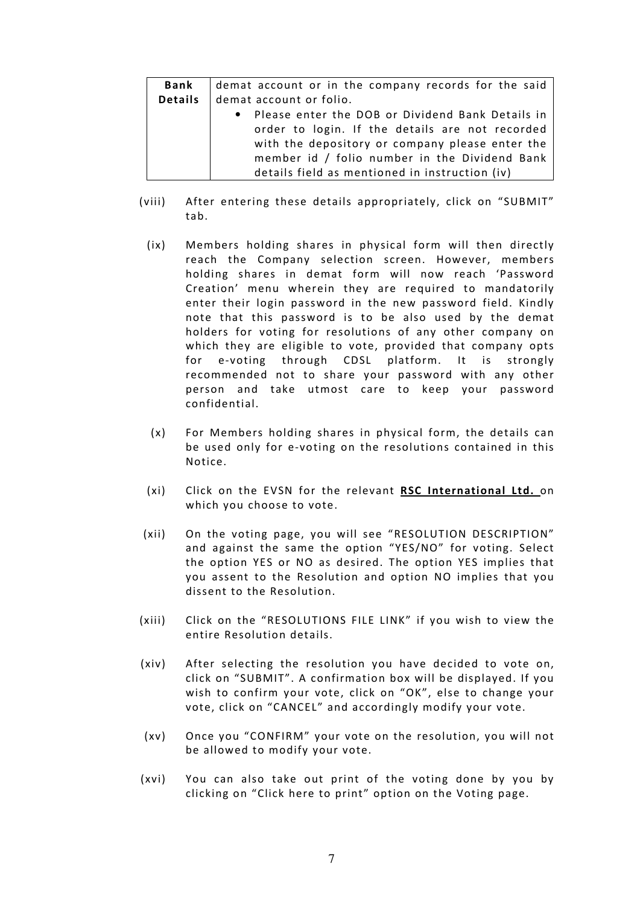| Bank           | demat account or in the company records for the said |
|----------------|------------------------------------------------------|
| <b>Details</b> | demat account or folio.                              |
|                | • Please enter the DOB or Dividend Bank Details in   |
|                | order to login. If the details are not recorded      |
|                | with the depository or company please enter the      |
|                | member id / folio number in the Dividend Bank        |
|                | details field as mentioned in instruction (iv)       |

- (viii) After entering these details appropriately, click on "SUBMIT" tab.
	- (ix) Members holding shares in physical form will then directly reach the Company selection screen. However, members holding shares in demat form will now reach 'Password Creation' menu wherein they are required to mandatorily enter their login password in the new password field. Kindly note that this password is to be also used by the demat holders for voting for resolutions of any other company on which they are eligible to vote, provided that company opts for e-voting through CDSL platform. It is strongly recommended not to share your password with any other person and take utmost care to keep your password confidential.
	- (x) For Members holding shares in physical form, the details can be used only for e-voting on the resolutions contained in this Notice.
	- (xi) Click on the EVSN for the relevant RSC International Ltd. on which you choose to vote.
- (xii) On the voting page, you will see "RESOLUTION DESCRIPTION" and against the same the option "YES/NO" for voting. Select the option YES or NO as desired. The option YES implies that you assent to the Resolution and option NO implies that you dissent to the Resolution.
- (xiii) Click on the "RESOLUTIONS FILE LINK" if you wish to view the entire Resolution details.
- (xiv) After selecting the resolution you have decided to vote on, click on "SUBMIT". A confirmation box will be displayed. If you wish to confirm your vote, click on "OK", else to change your vote, click on "CANCEL" and accordingly modify your vote.
- (xv) Once you "CONFIRM" your vote on the resolution, you will not be allowed to modify your vote.
- (xvi) You can also take out print of the voting done by you by clicking on "Click here to print" option on the Voting page.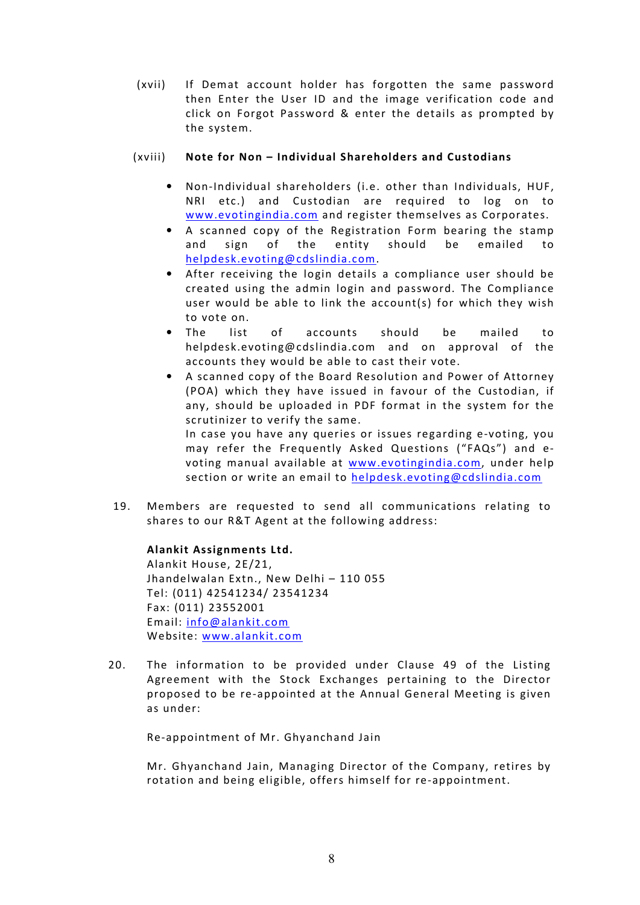(xvii) If Demat account holder has forgotten the same password then Enter the User ID and the image verification code and click on Forgot Password & enter the details as prompted by the system.

# (xviii) Note for Non – Individual Shareholders and Custodians

- Non-Individual shareholders (i.e. other than Individuals, HUF, NRI etc.) and Custodian are required to log on to www.evotingindia.com and register themselves as Corporates.
- A scanned copy of the Registration Form bearing the stamp and sign of the entity should be emailed to helpdesk.evoting@cdslindia.com.
- After receiving the login details a compliance user should be created using the admin login and password. The Compliance user would be able to link the account(s) for which they wish to vote on.
- The list of accounts should be mailed to helpdesk.evoting@cdslindia.com and on approval of the accounts they would be able to cast their vote.
- A scanned copy of the Board Resolution and Power of Attorney (POA) which they have issued in favour of the Custodian, if any, should be uploaded in PDF format in the system for the scrutinizer to verify the same. In case you have any queries or issues regarding e-voting, you may refer the Frequently Asked Questions ("FAQs") and evoting manual available at www.evotingindia.com, under help

section or write an email to helpdesk.evoting@cdslindia.com

19. Members are requested to send all communications relating to shares to our R&T Agent at the following address:

## Alankit Assignments Ltd.

Alankit House, 2E/21, Jhandelwalan Extn., New Delhi – 110 055 Tel: (011) 42541234/ 23541234 Fax: (011) 23552001 Email: info@alankit.com Website: www.alankit.com

20. The information to be provided under Clause 49 of the Listing Agreement with the Stock Exchanges pertaining to the Director proposed to be re-appointed at the Annual General Meeting is given as under:

Re-appointment of Mr. Ghyanchand Jain

Mr. Ghyanchand Jain, Managing Director of the Company, retires by rotation and being eligible, offers himself for re-appointment.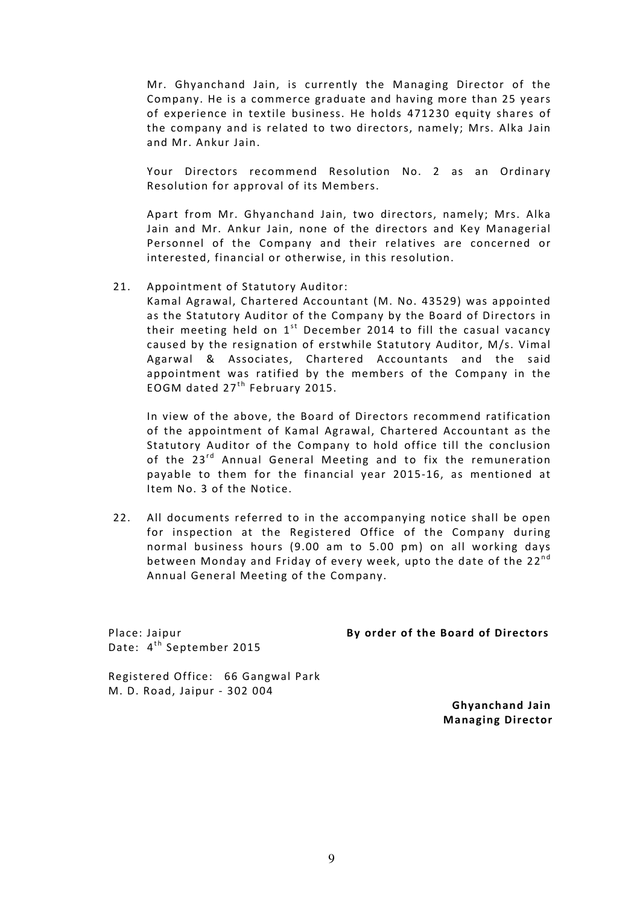Mr. Ghyanchand Jain, is currently the Managing Director of the Company. He is a commerce graduate and having more than 25 years of experience in textile business. He holds 471230 equity shares of the company and is related to two directors, namely; Mrs. Alka Jain and Mr. Ankur Jain.

Your Directors recommend Resolution No. 2 as an Ordinary Resolution for approval of its Members.

Apart from Mr. Ghyanchand Jain, two directors, namely; Mrs. Alka Jain and Mr. Ankur Jain, none of the directors and Key Managerial Personnel of the Company and their relatives are concerned or interested, financial or otherwise, in this resolution.

21. Appointment of Statutory Auditor:

Kamal Agrawal, Chartered Accountant (M. No. 43529) was appointed as the Statutory Auditor of the Company by the Board of Directors in their meeting held on  $1<sup>st</sup>$  December 2014 to fill the casual vacancy caused by the resignation of erstwhile Statutory Auditor, M/s. Vimal Agarwal & Associates, Chartered Accountants and the said appointment was ratified by the members of the Company in the EOGM dated  $27<sup>th</sup>$  February 2015.

In view of the above, the Board of Directors recommend ratification of the appointment of Kamal Agrawal, Chartered Accountant as the Statutory Auditor of the Company to hold office till the conclusion of the 23<sup>rd</sup> Annual General Meeting and to fix the remuneration payable to them for the financial year 2015-16, as mentioned at Item No. 3 of the Notice.

22. All documents referred to in the accompanying notice shall be open for inspection at the Registered Office of the Company during normal business hours (9.00 am to 5.00 pm) on all working days between Monday and Friday of every week, upto the date of the 22<sup>nd</sup> Annual General Meeting of the Company.

Date: 4<sup>th</sup> September 2015

#### Place: Jaipur By order of the Board of Directors

Registered Office: 66 Gangwal Park M. D. Road, Jaipur - 302 004

> Ghyanchand Jain Managing Director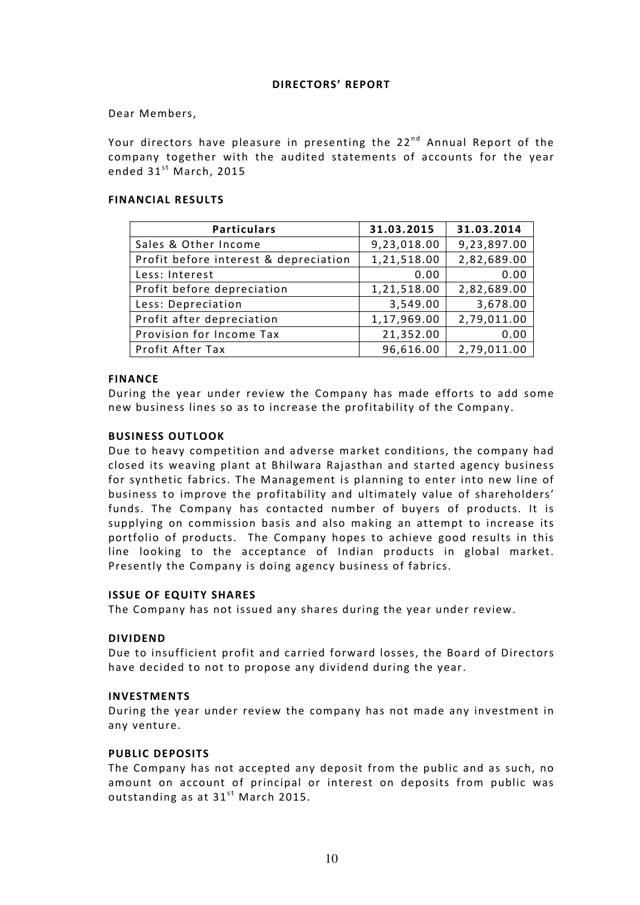#### DIRECTORS' REPORT

#### Dear Members,

Your directors have pleasure in presenting the  $22^{nd}$  Annual Report of the company together with the audited statements of accounts for the year ended  $31<sup>st</sup>$  March, 2015

#### FINANCIAL RESULTS

| <b>Particulars</b>                    | 31.03.2015  | 31.03.2014  |
|---------------------------------------|-------------|-------------|
| Sales & Other Income                  | 9,23,018.00 | 9,23,897.00 |
| Profit before interest & depreciation | 1,21,518.00 | 2,82,689.00 |
| Less: Interest                        | 0.00        | 0.00        |
| Profit before depreciation            | 1,21,518.00 | 2,82,689.00 |
| Less: Depreciation                    | 3,549.00    | 3,678.00    |
| Profit after depreciation             | 1,17,969.00 | 2,79,011.00 |
| Provision for Income Tax              | 21,352.00   | 0.00        |
| Profit After Tax                      | 96,616.00   | 2,79,011.00 |

#### FINANCE

During the year under review the Company has made efforts to add some new business lines so as to increase the profitability of the Company.

#### BUSINESS OUTLOOK

Due to heavy competition and adverse market conditions, the company had closed its weaving plant at Bhilwara Rajasthan and started agency business for synthetic fabrics. The Management is planning to enter into new line of business to improve the profitability and ultimately value of shareholders' funds. The Company has contacted number of buyers of products. It is supplying on commission basis and also making an attempt to increase its portfolio of products. The Company hopes to achieve good results in this line looking to the acceptance of Indian products in global market. Presently the Company is doing agency business of fabrics.

#### ISSUE OF EQUITY SHARES

The Company has not issued any shares during the year under review.

## DIVIDEND

Due to insufficient profit and carried forward losses, the Board of Directors have decided to not to propose any dividend during the year.

#### INVESTMENTS

During the year under review the company has not made any investment in any venture.

#### PUBLIC DEPOSITS

The Company has not accepted any deposit from the public and as such, no amount on account of principal or interest on deposits from public was outstanding as at  $31^{st}$  March 2015.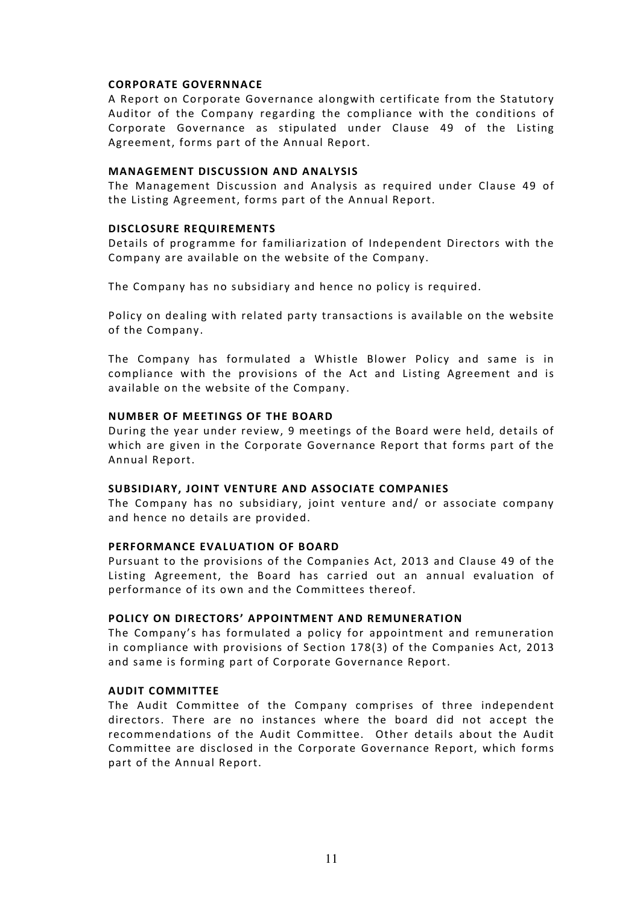## CORPORATE GOVERNNACE

A Report on Corporate Governance alongwith certificate from the Statutory Auditor of the Company regarding the compliance with the conditions of Corporate Governance as stipulated under Clause 49 of the Listing Agreement, forms part of the Annual Report.

## MANAGEMENT DISCUSSION AND ANALYSIS

The Management Discussion and Analysis as required under Clause 49 of the Listing Agreement, forms part of the Annual Report.

## DISCLOSURE REQUIREMENTS

Details of programme for familiarization of Independent Directors with the Company are available on the website of the Company.

The Company has no subsidiary and hence no policy is required.

Policy on dealing with related party transactions is available on the website of the Company.

The Company has formulated a Whistle Blower Policy and same is in compliance with the provisions of the Act and Listing Agreement and is available on the website of the Company.

## NUMBER OF MEETINGS OF THE BOARD

During the year under review, 9 meetings of the Board were held, details of which are given in the Corporate Governance Report that forms part of the Annual Report.

## SUBSIDIARY, JOINT VENTURE AND ASSOCIATE COMPANIES

The Company has no subsidiary, joint venture and/ or associate company and hence no details are provided.

## PERFORMANCE EVALUATION OF BOARD

Pursuant to the provisions of the Companies Act, 2013 and Clause 49 of the Listing Agreement, the Board has carried out an annual evaluation of performance of its own and the Committees thereof.

## POLICY ON DIRECTORS' APPOINTMENT AND REMUNERATION

The Company's has formulated a policy for appointment and remuneration in compliance with provisions of Section 178(3) of the Companies Act, 2013 and same is forming part of Corporate Governance Report.

## AUDIT COMMITTEE

The Audit Committee of the Company comprises of three independent directors. There are no instances where the board did not accept the recommendations of the Audit Committee. Other details about the Audit Committee are disclosed in the Corporate Governance Report, which forms part of the Annual Report.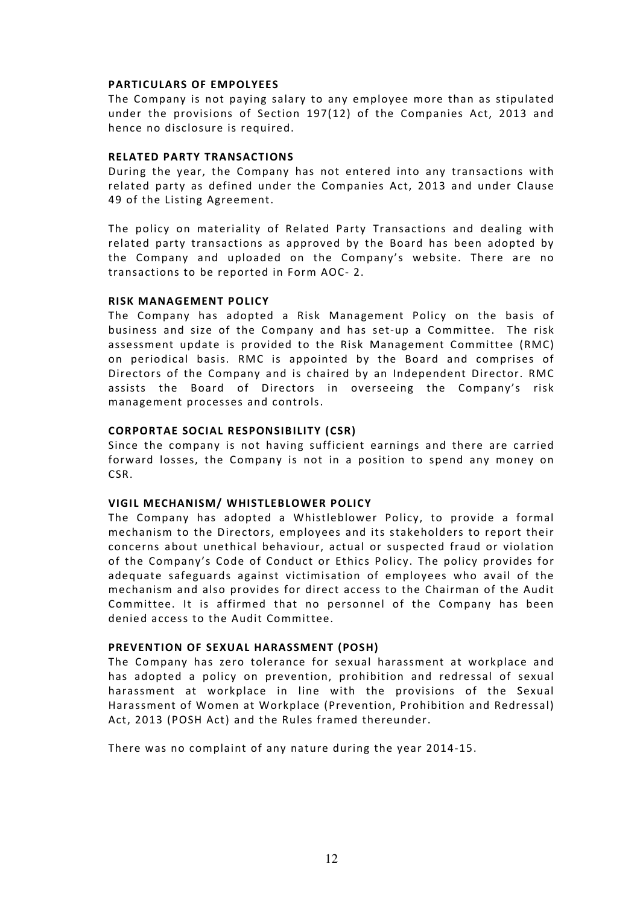#### PARTICULARS OF EMPOLYEES

The Company is not paying salary to any employee more than as stipulated under the provisions of Section 197(12) of the Companies Act, 2013 and hence no disclosure is required.

#### RELATED PARTY TRANSACTIONS

During the year, the Company has not entered into any transactions with related party as defined under the Companies Act, 2013 and under Clause 49 of the Listing Agreement.

The policy on materiality of Related Party Transactions and dealing with related party transactions as approved by the Board has been adopted by the Company and uploaded on the Company's website. There are no transactions to be reported in Form AOC- 2.

#### RISK MANAGEMENT POLICY

The Company has adopted a Risk Management Policy on the basis of business and size of the Company and has set-up a Committee. The risk assessment update is provided to the Risk Management Committee (RMC) on periodical basis. RMC is appointed by the Board and comprises of Directors of the Company and is chaired by an Independent Director. RMC assists the Board of Directors in overseeing the Company's risk management processes and controls.

#### CORPORTAE SOCIAL RESPONSIBILITY (CSR)

Since the company is not having sufficient earnings and there are carried forward losses, the Company is not in a position to spend any money on CSR.

#### VIGIL MECHANISM/ WHISTLEBLOWER POLICY

The Company has adopted a Whistleblower Policy, to provide a formal mechanism to the Directors, employees and its stakeholders to report their concerns about unethical behaviour, actual or suspected fraud or violation of the Company's Code of Conduct or Ethics Policy. The policy provides for adequate safeguards against victimisation of employees who avail of the mechanism and also provides for direct access to the Chairman of the Audit Committee. It is affirmed that no personnel of the Company has been denied access to the Audit Committee.

## PREVENTION OF SEXUAL HARASSMENT (POSH)

The Company has zero tolerance for sexual harassment at workplace and has adopted a policy on prevention, prohibition and redressal of sexual harassment at workplace in line with the provisions of the Sexual Harassment of Women at Workplace (Prevention, Prohibition and Redressal) Act, 2013 (POSH Act) and the Rules framed thereunder.

There was no complaint of any nature during the year 2014-15.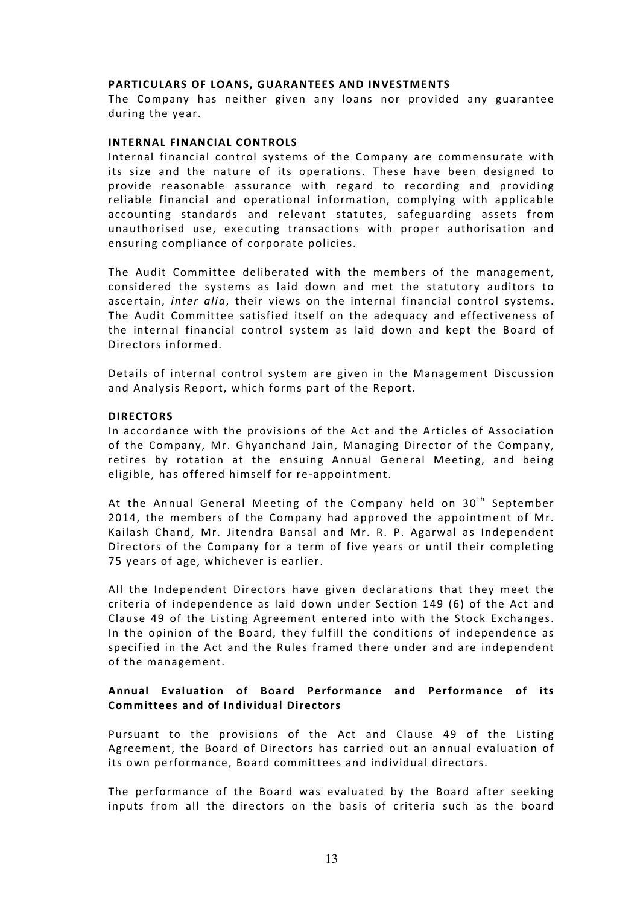#### PARTICULARS OF LOANS, GUARANTEES AND INVESTMENTS

The Company has neither given any loans nor provided any guarantee during the year.

#### INTERNAL FINANCIAL CONTROLS

Internal financial control systems of the Company are commensurate with its size and the nature of its operations. These have been designed to provide reasonable assurance with regard to recording and providing reliable financial and operational information, complying with applicable accounting standards and relevant statutes, safeguarding assets from unauthorised use, executing transactions with proper authorisation and ensuring compliance of corporate policies.

The Audit Committee deliberated with the members of the management, considered the systems as laid down and met the statutory auditors to ascertain, inter alia, their views on the internal financial control systems. The Audit Committee satisfied itself on the adequacy and effectiveness of the internal financial control system as laid down and kept the Board of Directors informed.

Details of internal control system are given in the Management Discussion and Analysis Report, which forms part of the Report.

#### DIRECTORS

In accordance with the provisions of the Act and the Articles of Association of the Company, Mr. Ghyanchand Jain, Managing Director of the Company, retires by rotation at the ensuing Annual General Meeting, and being eligible, has offered himself for re-appointment.

At the Annual General Meeting of the Company held on  $30<sup>th</sup>$  September 2014, the members of the Company had approved the appointment of Mr. Kailash Chand, Mr. Jitendra Bansal and Mr. R. P. Agarwal as Independent Directors of the Company for a term of five years or until their completing 75 years of age, whichever is earlier.

All the Independent Directors have given declarations that they meet the criteria of independence as laid down under Section 149 (6) of the Act and Clause 49 of the Listing Agreement entered into with the Stock Exchanges. In the opinion of the Board, they fulfill the conditions of independence as specified in the Act and the Rules framed there under and are independent of the management.

## Annual Evaluation of Board Performance and Performance of its Committees and of Individual Directors

Pursuant to the provisions of the Act and Clause 49 of the Listing Agreement, the Board of Directors has carried out an annual evaluation of its own performance, Board committees and individual directors.

The performance of the Board was evaluated by the Board after seeking inputs from all the directors on the basis of criteria such as the board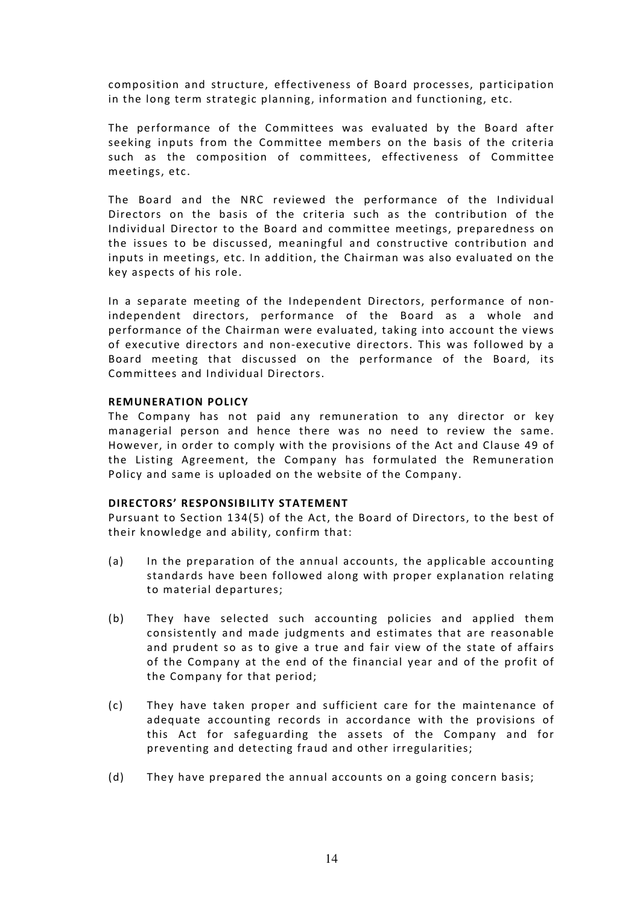composition and structure, effectiveness of Board processes, participation in the long term strategic planning, information and functioning, etc.

The performance of the Committees was evaluated by the Board after seeking inputs from the Committee members on the basis of the criteria such as the composition of committees, effectiveness of Committee meetings, etc.

The Board and the NRC reviewed the performance of the Individual Directors on the basis of the criteria such as the contribution of the Individual Director to the Board and committee meetings, preparedness on the issues to be discussed, meaningful and constructive contribution and inputs in meetings, etc. In addition, the Chairman was also evaluated on the key aspects of his role.

In a separate meeting of the Independent Directors, performance of nonindependent directors, performance of the Board as a whole and performance of the Chairman were evaluated, taking into account the views of executive directors and non-executive directors. This was followed by a Board meeting that discussed on the performance of the Board, its Committees and Individual Directors.

#### REMUNERATION POLICY

The Company has not paid any remuneration to any director or key managerial person and hence there was no need to review the same. However, in order to comply with the provisions of the Act and Clause 49 of the Listing Agreement, the Company has formulated the Remuneration Policy and same is uploaded on the website of the Company.

#### DIRECTORS' RESPONSIBILITY STATEMENT

Pursuant to Section 134(5) of the Act, the Board of Directors, to the best of their knowledge and ability, confirm that:

- (a) In the preparation of the annual accounts, the applicable accounting standards have been followed along with proper explanation relating to material departures;
- (b) They have selected such accounting policies and applied them consistently and made judgments and estimates that are reasonable and prudent so as to give a true and fair view of the state of affairs of the Company at the end of the financial year and of the profit of the Company for that period;
- (c) They have taken proper and sufficient care for the maintenance of adequate accounting records in accordance with the provisions of this Act for safeguarding the assets of the Company and for preventing and detecting fraud and other irregularities;
- (d) They have prepared the annual accounts on a going concern basis;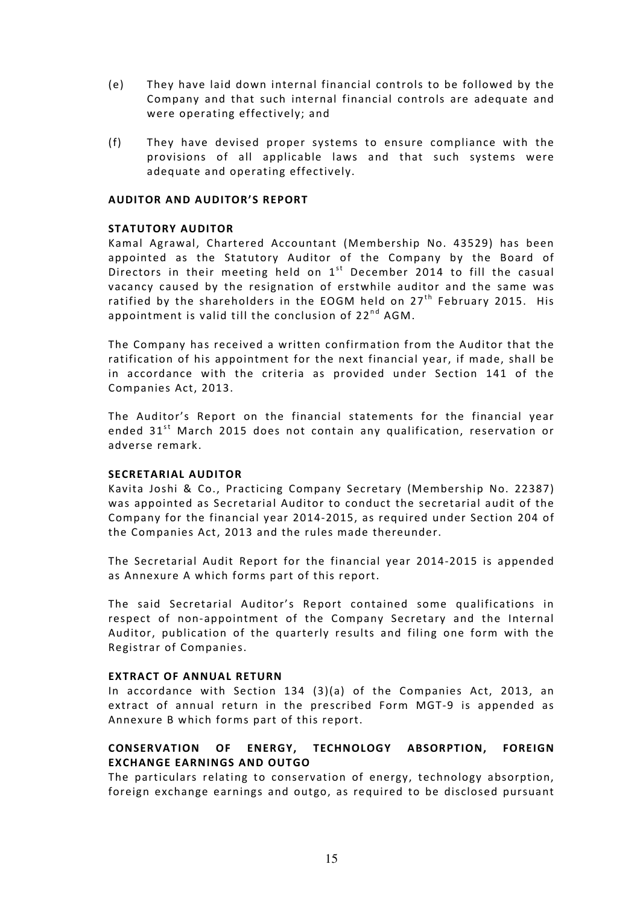- (e) They have laid down internal financial controls to be followed by the Company and that such internal financial controls are adequate and were operating effectively; and
- (f) They have devised proper systems to ensure compliance with the provisions of all applicable laws and that such systems were adequate and operating effectively.

## AUDITOR AND AUDITOR'S REPORT

## STATUTORY AUDITOR

Kamal Agrawal, Chartered Accountant (Membership No. 43529) has been appointed as the Statutory Auditor of the Company by the Board of Directors in their meeting held on  $1<sup>st</sup>$  December 2014 to fill the casual vacancy caused by the resignation of erstwhile auditor and the same was ratified by the shareholders in the EOGM held on  $27<sup>th</sup>$  February 2015. His appointment is valid till the conclusion of  $22^{nd}$  AGM.

The Company has received a written confirmation from the Auditor that the ratification of his appointment for the next financial year, if made, shall be in accordance with the criteria as provided under Section 141 of the Companies Act, 2013.

The Auditor's Report on the financial statements for the financial year ended 31<sup>st</sup> March 2015 does not contain any qualification, reservation or adverse remark.

## SECRETARIAL AUDITOR

Kavita Joshi & Co., Practicing Company Secretary (Membership No. 22387) was appointed as Secretarial Auditor to conduct the secretarial audit of the Company for the financial year 2014-2015, as required under Section 204 of the Companies Act, 2013 and the rules made thereunder.

The Secretarial Audit Report for the financial year 2014-2015 is appended as Annexure A which forms part of this report.

The said Secretarial Auditor's Report contained some qualifications in respect of non-appointment of the Company Secretary and the Internal Auditor, publication of the quarterly results and filing one form with the Registrar of Companies.

## EXTRACT OF ANNUAL RETURN

In accordance with Section 134 (3)(a) of the Companies Act, 2013, an extract of annual return in the prescribed Form MGT-9 is appended as Annexure B which forms part of this report.

# CONSERVATION OF ENERGY, TECHNOLOGY ABSORPTION, FOREIGN EXCHANGE EARNINGS AND OUTGO

The particulars relating to conservation of energy, technology absorption, foreign exchange earnings and outgo, as required to be disclosed pursuant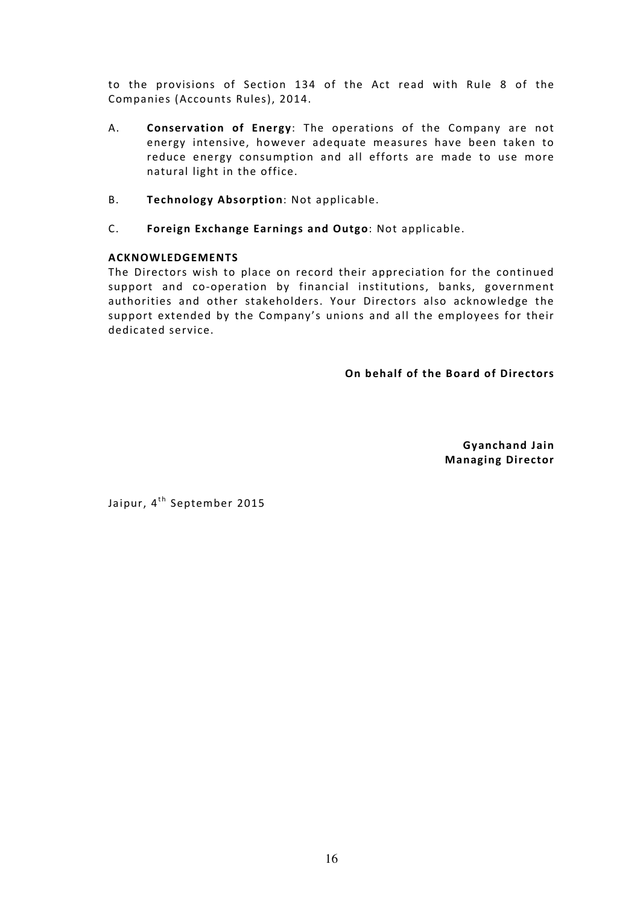to the provisions of Section 134 of the Act read with Rule 8 of the Companies (Accounts Rules), 2014.

- A. Conservation of Energy: The operations of the Company are not energy intensive, however adequate measures have been taken to reduce energy consumption and all efforts are made to use more natural light in the office.
- B. Technology Absorption: Not applicable.
- C. Foreign Exchange Earnings and Outgo: Not applicable.

## ACKNOWLEDGEMENTS

The Directors wish to place on record their appreciation for the continued support and co-operation by financial institutions, banks, government authorities and other stakeholders. Your Directors also acknowledge the support extended by the Company's unions and all the employees for their dedicated service.

On behalf of the Board of Directors

Gyanchand Jain Managing Director

Jaipur, 4<sup>th</sup> September 2015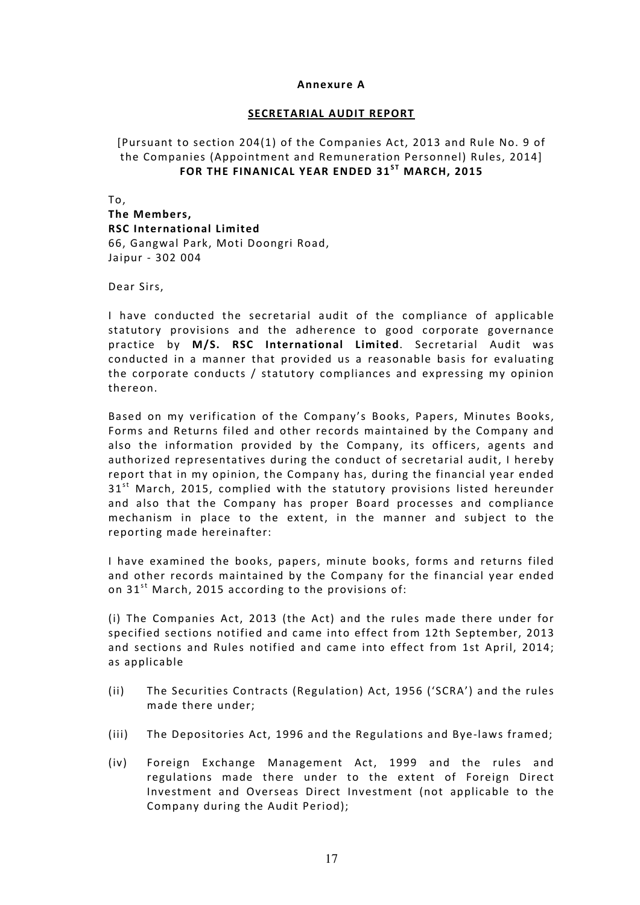#### Annexure A

## SECRETARIAL AUDIT REPORT

# [Pursuant to section 204(1) of the Companies Act, 2013 and Rule No. 9 of the Companies (Appointment and Remuneration Personnel) Rules, 2014] FOR THE FINANICAL YEAR ENDED  $31^{ST}$  MARCH, 2015

To, The Members, RSC International Limited 66, Gangwal Park, Moti Doongri Road, Jaipur - 302 004

Dear Sirs,

I have conducted the secretarial audit of the compliance of applicable statutory provisions and the adherence to good corporate governance practice by M/S. RSC International Limited. Secretarial Audit was conducted in a manner that provided us a reasonable basis for evaluating the corporate conducts / statutory compliances and expressing my opinion thereon.

Based on my verification of the Company's Books, Papers, Minutes Books, Forms and Returns filed and other records maintained by the Company and also the information provided by the Company, its officers, agents and authorized representatives during the conduct of secretarial audit, I hereby report that in my opinion, the Company has, during the financial year ended  $31<sup>st</sup>$  March, 2015, complied with the statutory provisions listed hereunder and also that the Company has proper Board processes and compliance mechanism in place to the extent, in the manner and subject to the reporting made hereinafter:

I have examined the books, papers, minute books, forms and returns filed and other records maintained by the Company for the financial year ended on  $31^{st}$  March, 2015 according to the provisions of:

(i) The Companies Act, 2013 (the Act) and the rules made there under for specified sections notified and came into effect from 12th September, 2013 and sections and Rules notified and came into effect from 1st April, 2014; as applicable

- (ii) The Securities Contracts (Regulation) Act, 1956 ('SCRA') and the rules made there under;
- (iii) The Depositories Act, 1996 and the Regulations and Bye-laws framed;
- (iv) Foreign Exchange Management Act, 1999 and the rules and regulations made there under to the extent of Foreign Direct Investment and Overseas Direct Investment (not applicable to the Company during the Audit Period);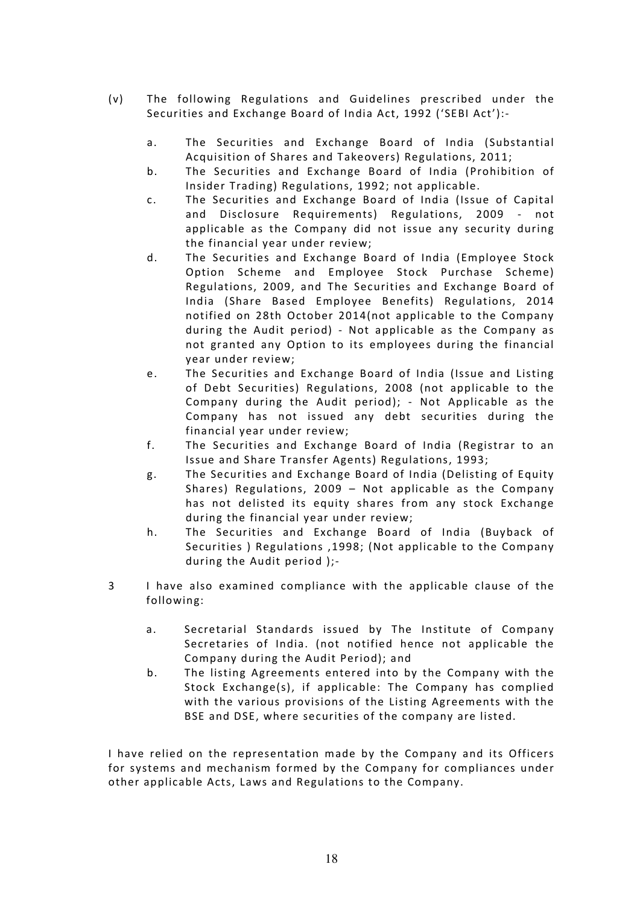- (v) The following Regulations and Guidelines prescribed under the Securities and Exchange Board of India Act, 1992 ('SEBI Act'):
	- a. The Securities and Exchange Board of India (Substantial Acquisition of Shares and Takeovers) Regulations, 2011;
	- b. The Securities and Exchange Board of India (Prohibition of Insider Trading) Regulations, 1992; not applicable.
	- c. The Securities and Exchange Board of India (Issue of Capital and Disclosure Requirements) Regulations, 2009 - not applicable as the Company did not issue any security during the financial year under review;
	- d. The Securities and Exchange Board of India (Employee Stock Option Scheme and Employee Stock Purchase Scheme) Regulations, 2009, and The Securities and Exchange Board of India (Share Based Employee Benefits) Regulations, 2014 notified on 28th October 2014(not applicable to the Company during the Audit period) - Not applicable as the Company as not granted any Option to its employees during the financial year under review;
	- e. The Securities and Exchange Board of India (Issue and Listing of Debt Securities) Regulations, 2008 (not applicable to the Company during the Audit period); - Not Applicable as the Company has not issued any debt securities during the financial year under review;
	- f. The Securities and Exchange Board of India (Registrar to an Issue and Share Transfer Agents) Regulations, 1993;
	- g. The Securities and Exchange Board of India (Delisting of Equity Shares) Regulations, 2009 – Not applicable as the Company has not delisted its equity shares from any stock Exchange during the financial year under review;
	- h. The Securities and Exchange Board of India (Buyback of Securities ) Regulations ,1998; (Not applicable to the Company during the Audit period );-
- 3 I have also examined compliance with the applicable clause of the following:
	- a. Secretarial Standards issued by The Institute of Company Secretaries of India. (not notified hence not applicable the Company during the Audit Period); and
	- b. The listing Agreements entered into by the Company with the Stock Exchange(s), if applicable: The Company has complied with the various provisions of the Listing Agreements with the BSE and DSE, where securities of the company are listed.

I have relied on the representation made by the Company and its Officers for systems and mechanism formed by the Company for compliances under other applicable Acts, Laws and Regulations to the Company.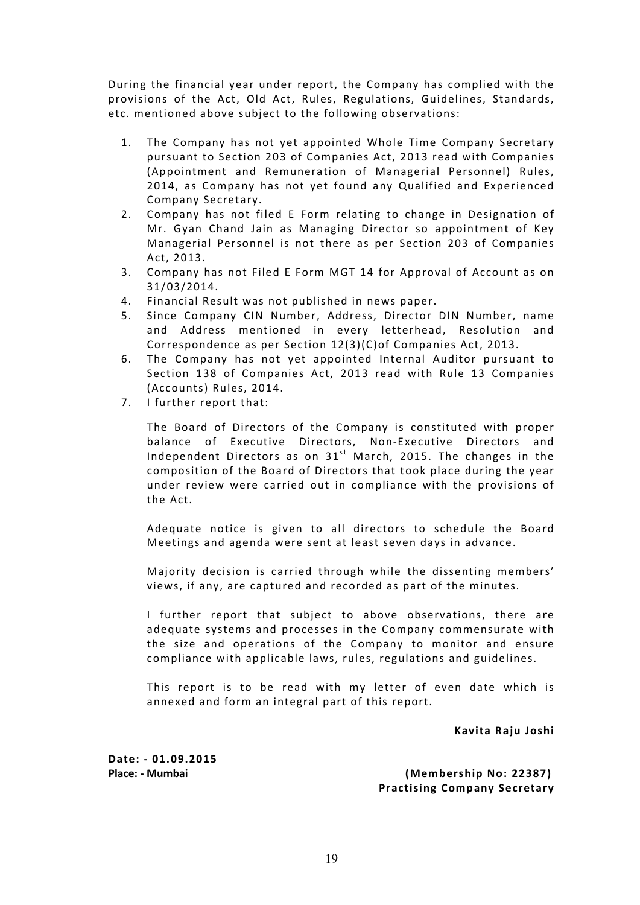During the financial year under report, the Company has complied with the provisions of the Act, Old Act, Rules, Regulations, Guidelines, Standards, etc. mentioned above subject to the following observations:

- 1. The Company has not yet appointed Whole Time Company Secretary pursuant to Section 203 of Companies Act, 2013 read with Companies (Appointment and Remuneration of Managerial Personnel) Rules, 2014, as Company has not yet found any Qualified and Experienced Company Secretary.
- 2. Company has not filed E Form relating to change in Designation of Mr. Gyan Chand Jain as Managing Director so appointment of Key Managerial Personnel is not there as per Section 203 of Companies Act, 2013.
- 3. Company has not Filed E Form MGT 14 for Approval of Account as on 31/03/2014.
- 4. Financial Result was not published in news paper.
- 5. Since Company CIN Number, Address, Director DIN Number, name and Address mentioned in every letterhead, Resolution and Correspondence as per Section 12(3)(C)of Companies Act, 2013.
- 6. The Company has not yet appointed Internal Auditor pursuant to Section 138 of Companies Act, 2013 read with Rule 13 Companies (Accounts) Rules, 2014.
- 7. I further report that:

The Board of Directors of the Company is constituted with proper balance of Executive Directors, Non-Executive Directors and Independent Directors as on  $31<sup>st</sup>$  March, 2015. The changes in the composition of the Board of Directors that took place during the year under review were carried out in compliance with the provisions of the Act.

Adequate notice is given to all directors to schedule the Board Meetings and agenda were sent at least seven days in advance.

Majority decision is carried through while the dissenting members' views, if any, are captured and recorded as part of the minutes.

I further report that subject to above observations, there are adequate systems and processes in the Company commensurate with the size and operations of the Company to monitor and ensure compliance with applicable laws, rules, regulations and guidelines.

This report is to be read with my letter of even date which is annexed and form an integral part of this report.

Kavita Raju Joshi

Date: - 01.09.2015

Place: - Mumbai (Membership No: 22387) Practising Company Secretary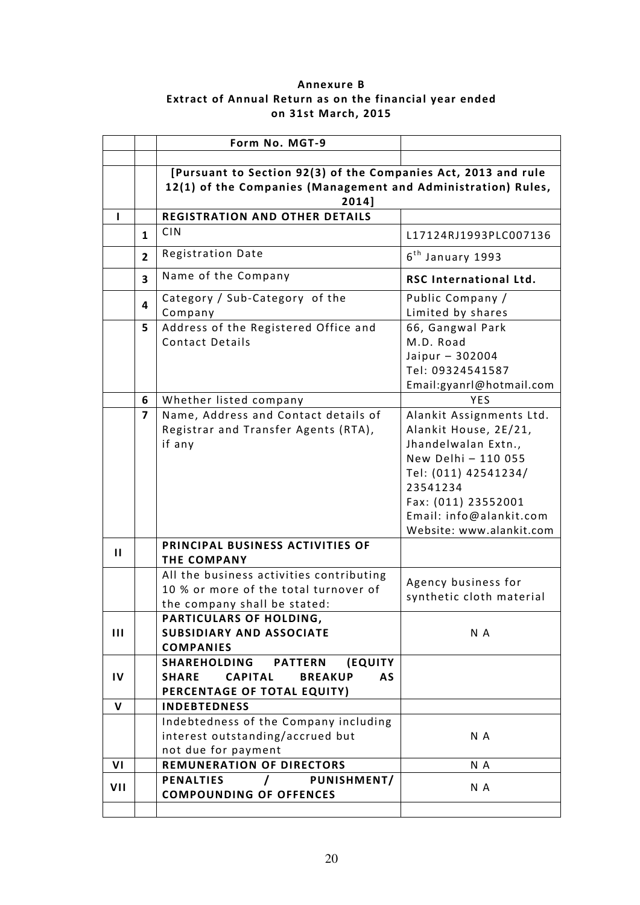# Annexure B Extract of Annual Return as on the financial year ended on 31st March, 2015

|                |                | Form No. MGT-9                                                                                                                           |                                                                                                                                                                                                                   |
|----------------|----------------|------------------------------------------------------------------------------------------------------------------------------------------|-------------------------------------------------------------------------------------------------------------------------------------------------------------------------------------------------------------------|
|                |                |                                                                                                                                          |                                                                                                                                                                                                                   |
|                |                | [Pursuant to Section 92(3) of the Companies Act, 2013 and rule<br>12(1) of the Companies (Management and Administration) Rules,<br>2014] |                                                                                                                                                                                                                   |
|                |                | <b>REGISTRATION AND OTHER DETAILS</b>                                                                                                    |                                                                                                                                                                                                                   |
|                | $\mathbf{1}$   | <b>CIN</b>                                                                                                                               | L17124RJ1993PLC007136                                                                                                                                                                                             |
|                | $\overline{2}$ | <b>Registration Date</b>                                                                                                                 | 6 <sup>th</sup> January 1993                                                                                                                                                                                      |
|                | 3              | Name of the Company                                                                                                                      | <b>RSC International Ltd.</b>                                                                                                                                                                                     |
|                | 4              | Category / Sub-Category of the<br>Company                                                                                                | Public Company /<br>Limited by shares                                                                                                                                                                             |
|                | 5              | Address of the Registered Office and<br><b>Contact Details</b>                                                                           | 66, Gangwal Park<br>M.D. Road<br>Jaipur - 302004<br>Tel: 09324541587<br>Email:gyanrl@hotmail.com                                                                                                                  |
|                | 6              | Whether listed company                                                                                                                   | YES                                                                                                                                                                                                               |
|                | $\overline{7}$ | Name, Address and Contact details of<br>Registrar and Transfer Agents (RTA),<br>if any                                                   | Alankit Assignments Ltd.<br>Alankit House, 2E/21,<br>Jhandelwalan Extn.,<br>New Delhi - 110 055<br>Tel: (011) 42541234/<br>23541234<br>Fax: (011) 23552001<br>Email: info@alankit.com<br>Website: www.alankit.com |
| $\mathbf{H}$   |                | PRINCIPAL BUSINESS ACTIVITIES OF<br><b>THE COMPANY</b>                                                                                   |                                                                                                                                                                                                                   |
|                |                | All the business activities contributing<br>10 % or more of the total turnover of<br>the company shall be stated:                        | Agency business for<br>synthetic cloth material                                                                                                                                                                   |
| $\mathbf{III}$ |                | PARTICULARS OF HOLDING,<br><b>SUBSIDIARY AND ASSOCIATE</b><br><b>COMPANIES</b>                                                           | N A                                                                                                                                                                                                               |
| IV             |                | SHAREHOLDING<br><b>PATTERN</b><br>(EQUITY<br><b>CAPITAL</b><br>AS<br><b>SHARE</b><br><b>BREAKUP</b><br>PERCENTAGE OF TOTAL EQUITY)       |                                                                                                                                                                                                                   |
| $\mathbf{V}$   |                | <b>INDEBTEDNESS</b>                                                                                                                      |                                                                                                                                                                                                                   |
|                |                | Indebtedness of the Company including<br>interest outstanding/accrued but<br>not due for payment                                         | N A                                                                                                                                                                                                               |
| VI             |                | <b>REMUNERATION OF DIRECTORS</b>                                                                                                         | N A                                                                                                                                                                                                               |
| VII            |                | <b>PENALTIES</b><br>PUNISHMENT/<br>$\prime$<br><b>COMPOUNDING OF OFFENCES</b>                                                            | N A                                                                                                                                                                                                               |
|                |                |                                                                                                                                          |                                                                                                                                                                                                                   |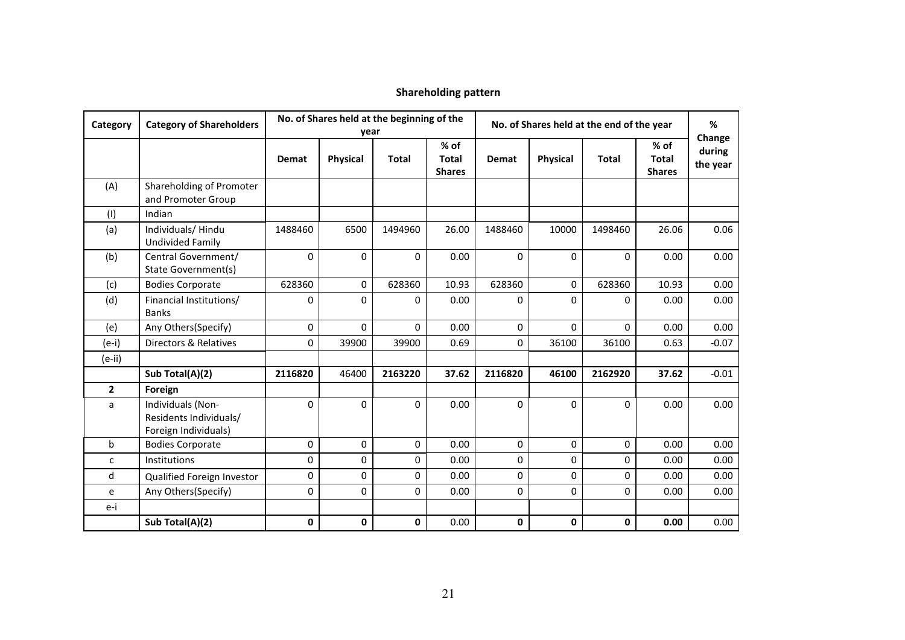| Category     | <b>Category of Shareholders</b>                                     | No. of Shares held at the beginning of the<br>year |                 |              | No. of Shares held at the end of the year |              |          |              | %                                       |                              |
|--------------|---------------------------------------------------------------------|----------------------------------------------------|-----------------|--------------|-------------------------------------------|--------------|----------|--------------|-----------------------------------------|------------------------------|
|              |                                                                     | <b>Demat</b>                                       | <b>Physical</b> | <b>Total</b> | % of<br><b>Total</b><br><b>Shares</b>     | <b>Demat</b> | Physical | <b>Total</b> | $%$ of<br><b>Total</b><br><b>Shares</b> | Change<br>during<br>the year |
| (A)          | Shareholding of Promoter<br>and Promoter Group                      |                                                    |                 |              |                                           |              |          |              |                                         |                              |
| (1)          | Indian                                                              |                                                    |                 |              |                                           |              |          |              |                                         |                              |
| (a)          | Individuals/Hindu<br><b>Undivided Family</b>                        | 1488460                                            | 6500            | 1494960      | 26.00                                     | 1488460      | 10000    | 1498460      | 26.06                                   | 0.06                         |
| (b)          | Central Government/<br>State Government(s)                          | $\Omega$                                           | $\mathbf 0$     | 0            | 0.00                                      | $\Omega$     | $\Omega$ | $\Omega$     | 0.00                                    | 0.00                         |
| (c)          | <b>Bodies Corporate</b>                                             | 628360                                             | $\mathbf 0$     | 628360       | 10.93                                     | 628360       | $\Omega$ | 628360       | 10.93                                   | 0.00                         |
| (d)          | Financial Institutions/<br><b>Banks</b>                             | 0                                                  | $\mathbf 0$     | 0            | 0.00                                      | 0            | 0        | 0            | 0.00                                    | 0.00                         |
| (e)          | Any Others(Specify)                                                 | 0                                                  | $\Omega$        | 0            | 0.00                                      | $\Omega$     | $\Omega$ | 0            | 0.00                                    | 0.00                         |
| $(e-i)$      | Directors & Relatives                                               | 0                                                  | 39900           | 39900        | 0.69                                      | $\Omega$     | 36100    | 36100        | 0.63                                    | $-0.07$                      |
| $(e-ii)$     |                                                                     |                                                    |                 |              |                                           |              |          |              |                                         |                              |
|              | Sub Total(A)(2)                                                     | 2116820                                            | 46400           | 2163220      | 37.62                                     | 2116820      | 46100    | 2162920      | 37.62                                   | $-0.01$                      |
| $\mathbf{2}$ | Foreign                                                             |                                                    |                 |              |                                           |              |          |              |                                         |                              |
| a            | Individuals (Non-<br>Residents Individuals/<br>Foreign Individuals) | $\Omega$                                           | $\Omega$        | 0            | 0.00                                      | $\Omega$     | $\Omega$ | $\Omega$     | 0.00                                    | 0.00                         |
| $\mathbf b$  | <b>Bodies Corporate</b>                                             | 0                                                  | $\Omega$        | 0            | 0.00                                      | $\Omega$     | $\Omega$ | 0            | 0.00                                    | 0.00                         |
| C            | <b>Institutions</b>                                                 | 0                                                  | 0               | 0            | 0.00                                      | $\mathbf 0$  | 0        | 0            | 0.00                                    | 0.00                         |
| d            | Qualified Foreign Investor                                          | 0                                                  | 0               | 0            | 0.00                                      | $\Omega$     | $\Omega$ | 0            | 0.00                                    | 0.00                         |
| e            | Any Others(Specify)                                                 | 0                                                  | 0               | 0            | 0.00                                      | $\mathbf 0$  | 0        | 0            | 0.00                                    | 0.00                         |
| e-i          |                                                                     |                                                    |                 |              |                                           |              |          |              |                                         |                              |
|              | Sub Total(A)(2)                                                     | 0                                                  | 0               | 0            | 0.00                                      | 0            | 0        | $\mathbf 0$  | 0.00                                    | 0.00                         |

#### Shareholding pattern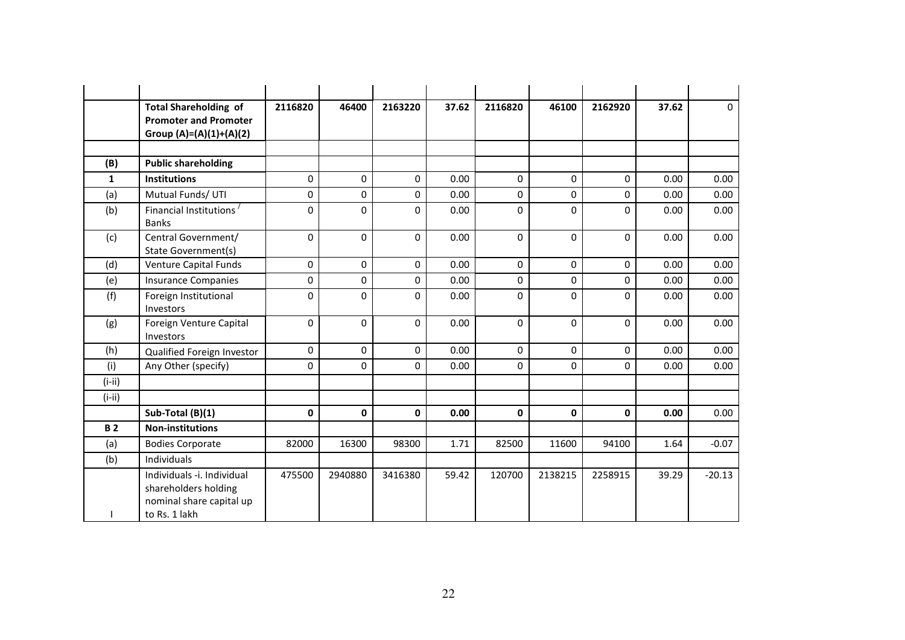|              | <b>Total Shareholding of</b><br><b>Promoter and Promoter</b><br>Group $(A)=(A)(1)+(A)(2)$       | 2116820  | 46400       | 2163220 | 37.62 | 2116820      | 46100       | 2162920  | 37.62 | $\mathbf 0$ |
|--------------|-------------------------------------------------------------------------------------------------|----------|-------------|---------|-------|--------------|-------------|----------|-------|-------------|
|              |                                                                                                 |          |             |         |       |              |             |          |       |             |
| (B)          | <b>Public shareholding</b>                                                                      |          |             |         |       |              |             |          |       |             |
| $\mathbf{1}$ | <b>Institutions</b>                                                                             | 0        | $\Omega$    | 0       | 0.00  | $\Omega$     | $\Omega$    | $\Omega$ | 0.00  | 0.00        |
| (a)          | Mutual Funds/ UTI                                                                               | 0        | $\mathbf 0$ | 0       | 0.00  | 0            | $\mathbf 0$ | 0        | 0.00  | 0.00        |
| (b)          | Financial Institutions <sup>/</sup><br><b>Banks</b>                                             | $\Omega$ | $\mathbf 0$ | 0       | 0.00  | $\Omega$     | $\Omega$    | $\Omega$ | 0.00  | 0.00        |
| (c)          | Central Government/<br>State Government(s)                                                      | $\Omega$ | $\Omega$    | 0       | 0.00  | $\Omega$     | $\Omega$    | $\Omega$ | 0.00  | 0.00        |
| (d)          | Venture Capital Funds                                                                           | 0        | $\mathbf 0$ | 0       | 0.00  | $\Omega$     | $\Omega$    | 0        | 0.00  | 0.00        |
| (e)          | <b>Insurance Companies</b>                                                                      | 0        | $\mathbf 0$ | 0       | 0.00  | $\Omega$     | $\Omega$    | 0        | 0.00  | 0.00        |
| (f)          | Foreign Institutional<br>Investors                                                              | $\Omega$ | 0           | 0       | 0.00  | $\Omega$     | $\Omega$    | $\Omega$ | 0.00  | 0.00        |
| (g)          | Foreign Venture Capital<br>Investors                                                            | $\Omega$ | $\Omega$    | 0       | 0.00  | $\Omega$     | $\Omega$    | $\Omega$ | 0.00  | 0.00        |
| (h)          | Qualified Foreign Investor                                                                      | 0        | $\mathbf 0$ | 0       | 0.00  | $\Omega$     | $\Omega$    | $\Omega$ | 0.00  | 0.00        |
| (i)          | Any Other (specify)                                                                             | $\Omega$ | $\Omega$    | 0       | 0.00  | $\Omega$     | $\Omega$    | 0        | 0.00  | 0.00        |
| $(i-ii)$     |                                                                                                 |          |             |         |       |              |             |          |       |             |
| $(i-ii)$     |                                                                                                 |          |             |         |       |              |             |          |       |             |
|              | Sub-Total (B)(1)                                                                                | 0        | $\mathbf 0$ | 0       | 0.00  | $\mathbf{0}$ | $\mathbf 0$ | 0        | 0.00  | 0.00        |
| <b>B2</b>    | <b>Non-institutions</b>                                                                         |          |             |         |       |              |             |          |       |             |
| (a)          | <b>Bodies Corporate</b>                                                                         | 82000    | 16300       | 98300   | 1.71  | 82500        | 11600       | 94100    | 1.64  | $-0.07$     |
| (b)          | Individuals                                                                                     |          |             |         |       |              |             |          |       |             |
|              | Individuals -i. Individual<br>shareholders holding<br>nominal share capital up<br>to Rs. 1 lakh | 475500   | 2940880     | 3416380 | 59.42 | 120700       | 2138215     | 2258915  | 39.29 | $-20.13$    |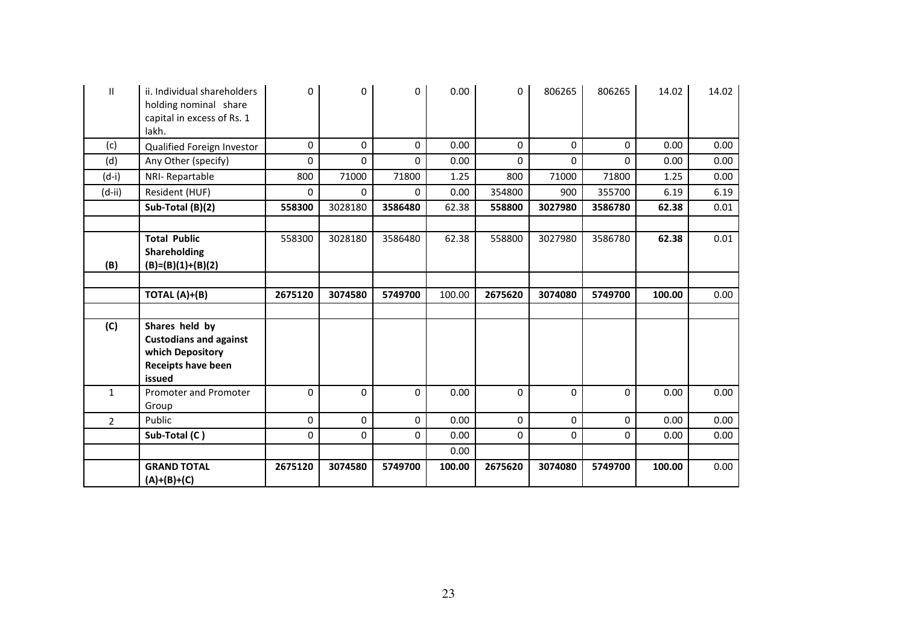| Ш              | ii. Individual shareholders<br>holding nominal share<br>capital in excess of Rs. 1<br>lakh.         | 0       | 0        | 0       | 0.00   | 0           | 806265      | 806265      | 14.02  | 14.02 |
|----------------|-----------------------------------------------------------------------------------------------------|---------|----------|---------|--------|-------------|-------------|-------------|--------|-------|
| (c)            | Qualified Foreign Investor                                                                          | 0       | 0        | 0       | 0.00   | 0           | $\Omega$    | 0           | 0.00   | 0.00  |
| (d)            | Any Other (specify)                                                                                 | 0       | $\Omega$ | 0       | 0.00   | 0           | $\Omega$    | 0           | 0.00   | 0.00  |
| $(d-i)$        | NRI-Repartable                                                                                      | 800     | 71000    | 71800   | 1.25   | 800         | 71000       | 71800       | 1.25   | 0.00  |
| $(d-ii)$       | Resident (HUF)                                                                                      | 0       | 0        | 0       | 0.00   | 354800      | 900         | 355700      | 6.19   | 6.19  |
|                | Sub-Total (B)(2)                                                                                    | 558300  | 3028180  | 3586480 | 62.38  | 558800      | 3027980     | 3586780     | 62.38  | 0.01  |
|                |                                                                                                     |         |          |         |        |             |             |             |        |       |
|                | <b>Total Public</b><br>Shareholding                                                                 | 558300  | 3028180  | 3586480 | 62.38  | 558800      | 3027980     | 3586780     | 62.38  | 0.01  |
| (B)            | $(B)=(B)(1)+(B)(2)$                                                                                 |         |          |         |        |             |             |             |        |       |
|                | TOTAL (A)+(B)                                                                                       | 2675120 | 3074580  | 5749700 | 100.00 | 2675620     | 3074080     | 5749700     | 100.00 | 0.00  |
| (C)            | Shares held by<br><b>Custodians and against</b><br>which Depository<br>Receipts have been<br>issued |         |          |         |        |             |             |             |        |       |
| $\mathbf{1}$   | Promoter and Promoter<br>Group                                                                      | 0       | $\Omega$ | 0       | 0.00   | $\Omega$    | $\Omega$    | 0           | 0.00   | 0.00  |
| $\overline{2}$ | Public                                                                                              | 0       | 0        | 0       | 0.00   | $\mathbf 0$ | $\mathbf 0$ | $\mathbf 0$ | 0.00   | 0.00  |
|                | Sub-Total (C)                                                                                       | 0       | 0        | 0       | 0.00   | $\mathbf 0$ | $\Omega$    | 0           | 0.00   | 0.00  |
|                |                                                                                                     |         |          |         | 0.00   |             |             |             |        |       |
|                | <b>GRAND TOTAL</b><br>$(A)+(B)+(C)$                                                                 | 2675120 | 3074580  | 5749700 | 100.00 | 2675620     | 3074080     | 5749700     | 100.00 | 0.00  |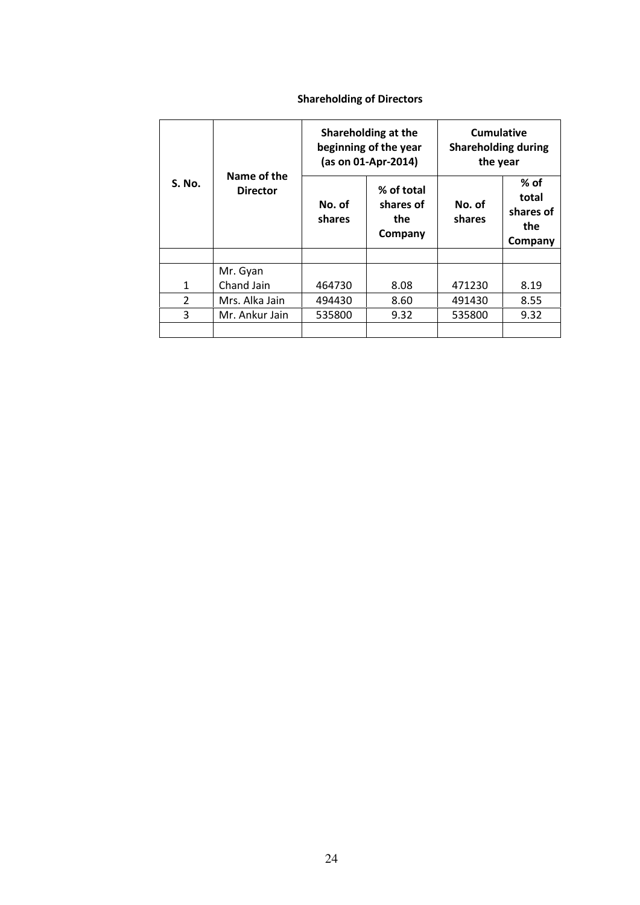# Shareholding of Directors

|               |                                |                  | Shareholding at the<br>beginning of the year<br>(as on 01-Apr-2014) | <b>Cumulative</b><br><b>Shareholding during</b><br>the year |                                                |  |
|---------------|--------------------------------|------------------|---------------------------------------------------------------------|-------------------------------------------------------------|------------------------------------------------|--|
| <b>S. No.</b> | Name of the<br><b>Director</b> | No. of<br>shares | % of total<br>shares of<br>the<br>Company                           | No. of<br>shares                                            | $%$ of<br>total<br>shares of<br>the<br>Company |  |
|               |                                |                  |                                                                     |                                                             |                                                |  |
|               | Mr. Gyan                       |                  |                                                                     |                                                             |                                                |  |
| 1             | Chand Jain                     | 464730           | 8.08                                                                | 471230                                                      | 8.19                                           |  |
| $\mathcal{P}$ | Mrs. Alka Jain                 | 494430           | 8.60                                                                | 491430                                                      | 8.55                                           |  |
| 3             | Mr. Ankur Jain                 | 535800           | 9.32                                                                | 535800                                                      | 9.32                                           |  |
|               |                                |                  |                                                                     |                                                             |                                                |  |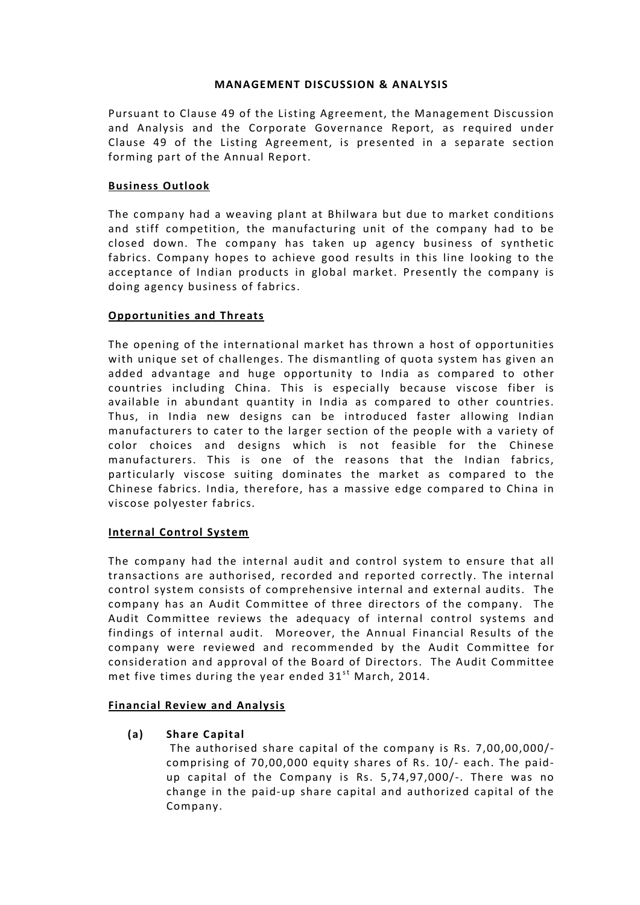## MANAGEMENT DISCUSSION & ANALYSIS

Pursuant to Clause 49 of the Listing Agreement, the Management Discussion and Analysis and the Corporate Governance Report, as required under Clause 49 of the Listing Agreement, is presented in a separate section forming part of the Annual Report.

# Business Outlook

The company had a weaving plant at Bhilwara but due to market conditions and stiff competition, the manufacturing unit of the company had to be closed down. The company has taken up agency business of synthetic fabrics. Company hopes to achieve good results in this line looking to the acceptance of Indian products in global market. Presently the company is doing agency business of fabrics.

# Opportunities and Threats

The opening of the international market has thrown a host of opportunities with unique set of challenges. The dismantling of quota system has given an added advantage and huge opportunity to India as compared to other countries including China. This is especially because viscose fiber is available in abundant quantity in India as compared to other countries. Thus, in India new designs can be introduced faster allowing Indian manufacturers to cater to the larger section of the people with a variety of color choices and designs which is not feasible for the Chinese manufacturers. This is one of the reasons that the Indian fabrics, particularly viscose suiting dominates the market as compared to the Chinese fabrics. India, therefore, has a massive edge compared to China in viscose polyester fabrics.

# Internal Control System

The company had the internal audit and control system to ensure that all transactions are authorised, recorded and reported correctly. The internal control system consists of comprehensive internal and external audits. The company has an Audit Committee of three directors of the company. The Audit Committee reviews the adequacy of internal control systems and findings of internal audit. Moreover, the Annual Financial Results of the company were reviewed and recommended by the Audit Committee for consideration and approval of the Board of Directors. The Audit Committee met five times during the year ended  $31<sup>st</sup>$  March, 2014.

# Financial Review and Analysis

(a) Share Capital

The authorised share capital of the company is Rs. 7,00,00,000/ comprising of 70,00,000 equity shares of Rs. 10/- each. The paidup capital of the Company is Rs. 5,74,97,000/-. There was no change in the paid-up share capital and authorized capital of the Company.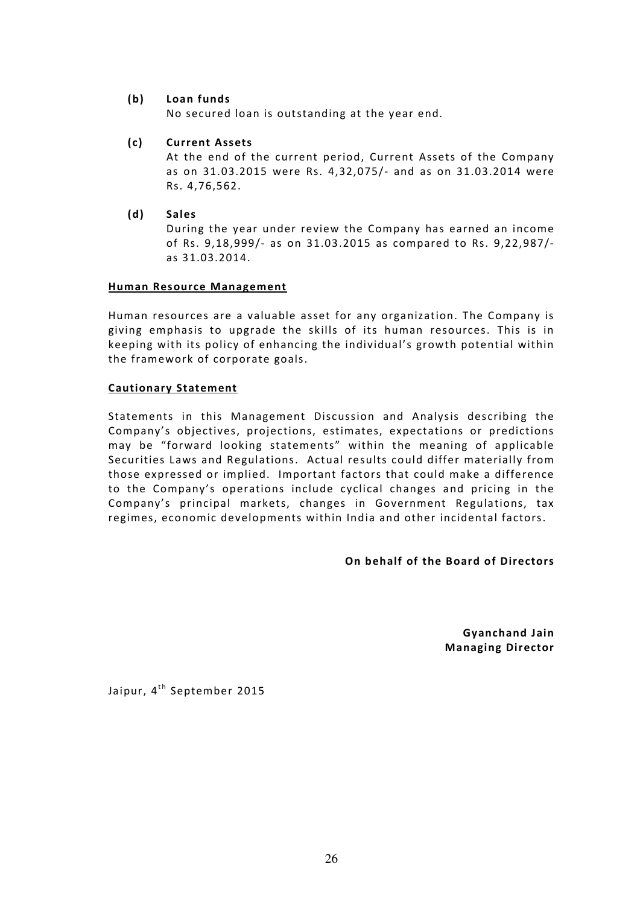# (b) Loan funds

No secured loan is outstanding at the year end.

(c) Current Assets

At the end of the current period, Current Assets of the Company as on 31.03.2015 were Rs. 4,32,075/- and as on 31.03.2014 were Rs. 4,76,562.

(d) Sales

During the year under review the Company has earned an income of Rs. 9,18,999/- as on 31.03.2015 as compared to Rs. 9,22,987/ as 31.03.2014.

## Human Resource Management

Human resources are a valuable asset for any organization. The Company is giving emphasis to upgrade the skills of its human resources. This is in keeping with its policy of enhancing the individual's growth potential within the framework of corporate goals.

## Cautionary Statement

Statements in this Management Discussion and Analysis describing the Company's objectives, projections, estimates, expectations or predictions may be "forward looking statements" within the meaning of applicable Securities Laws and Regulations. Actual results could differ materially from those expressed or implied. Important factors that could make a difference to the Company's operations include cyclical changes and pricing in the Company's principal markets, changes in Government Regulations, tax regimes, economic developments within India and other incidental factors.

## On behalf of the Board of Directors

Gyanchand Jain Managing Director

Jaipur, 4<sup>th</sup> September 2015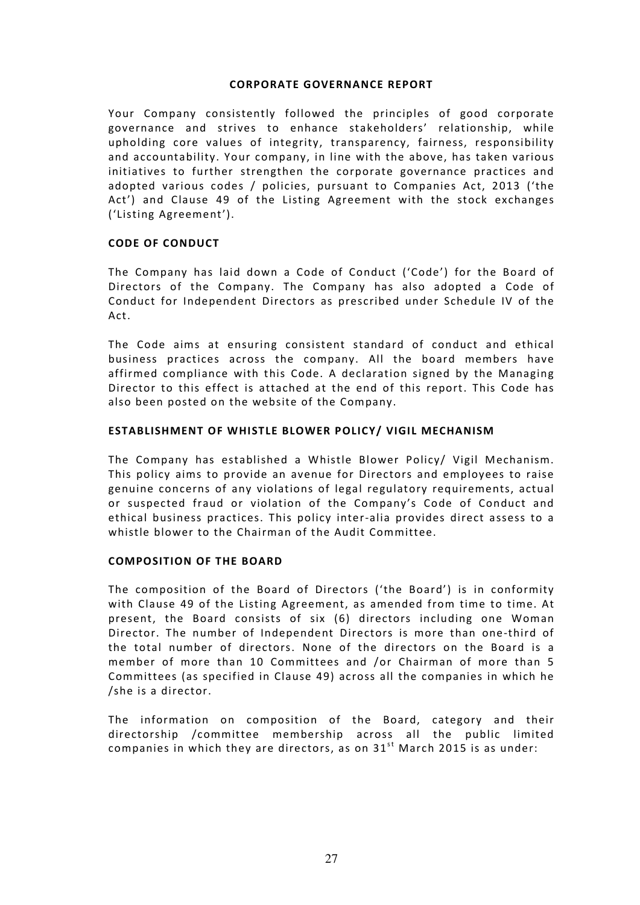## CORPORATE GOVERNANCE REPORT

Your Company consistently followed the principles of good corporate governance and strives to enhance stakeholders' relationship, while upholding core values of integrity, transparency, fairness, responsibility and accountability. Your company, in line with the above, has taken various initiatives to further strengthen the corporate governance practices and adopted various codes / policies, pursuant to Companies Act, 2013 ('the Act') and Clause 49 of the Listing Agreement with the stock exchanges ('Listing Agreement').

## CODE OF CONDUCT

The Company has laid down a Code of Conduct ('Code') for the Board of Directors of the Company. The Company has also adopted a Code of Conduct for Independent Directors as prescribed under Schedule IV of the Act.

The Code aims at ensuring consistent standard of conduct and ethical business practices across the company. All the board members have affirmed compliance with this Code. A declaration signed by the Managing Director to this effect is attached at the end of this report. This Code has also been posted on the website of the Company.

## ESTABLISHMENT OF WHISTLE BLOWER POLICY/ VIGIL MECHANISM

The Company has established a Whistle Blower Policy/ Vigil Mechanism. This policy aims to provide an avenue for Directors and employees to raise genuine concerns of any violations of legal regulatory requirements, actual or suspected fraud or violation of the Company's Code of Conduct and ethical business practices. This policy inter-alia provides direct assess to a whistle blower to the Chairman of the Audit Committee.

# COMPOSITION OF THE BOARD

The composition of the Board of Directors ('the Board') is in conformity with Clause 49 of the Listing Agreement, as amended from time to time. At present, the Board consists of six (6) directors including one Woman Director. The number of Independent Directors is more than one-third of the total number of directors. None of the directors on the Board is a member of more than 10 Committees and /or Chairman of more than 5 Committees (as specified in Clause 49) across all the companies in which he /she is a director.

The information on composition of the Board, category and their directorship /committee membership across all the public limited companies in which they are directors, as on  $31<sup>st</sup>$  March 2015 is as under: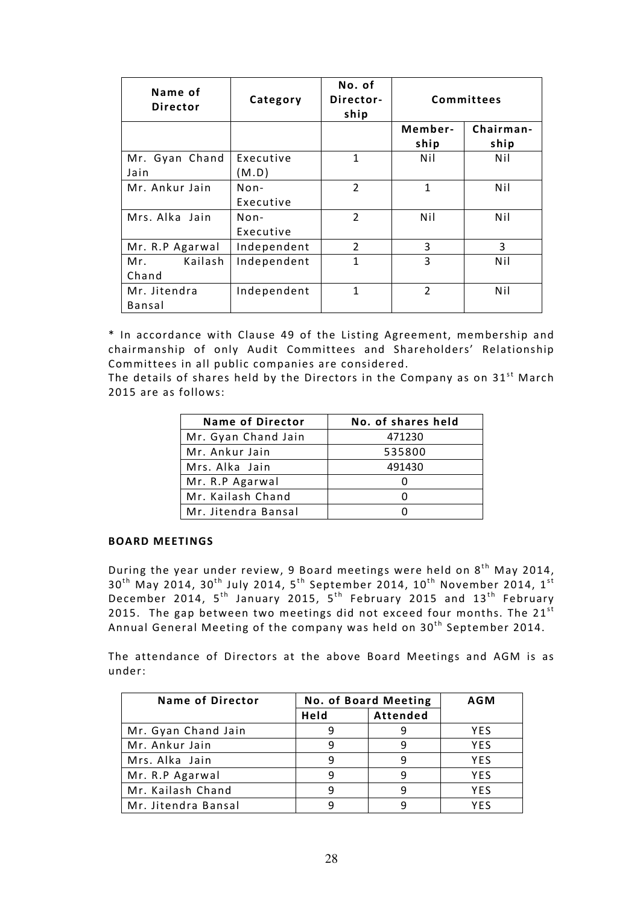| Name of<br><b>Director</b> | Category            | No. of<br>Director-<br>ship |                 | Committees        |
|----------------------------|---------------------|-----------------------------|-----------------|-------------------|
|                            |                     |                             | Member-<br>ship | Chairman-<br>ship |
| Mr. Gyan Chand<br>Jain     | Executive<br>(M.D)  | 1                           | Nil             | Nil               |
| Mr. Ankur Jain             | $Non-$<br>Executive | $\overline{2}$              | $\mathbf{1}$    | Nil               |
| Mrs. Alka Jain             | $Non-$<br>Executive | $\overline{2}$              | Nil             | Nil               |
| Mr. R.P Agarwal            | Independent         | 2                           | 3               | 3                 |
| Kailash<br>Mr.<br>Chand    | Independent         | 1                           | 3               | Nil               |
| Mr. Jitendra<br>Bansal     | Independent         | 1                           | $\overline{2}$  | Nil               |

\* In accordance with Clause 49 of the Listing Agreement, membership and chairmanship of only Audit Committees and Shareholders' Relationship Committees in all public companies are considered.

The details of shares held by the Directors in the Company as on  $31<sup>st</sup>$  March 2015 are as follows:

| Name of Director    | No. of shares held |
|---------------------|--------------------|
| Mr. Gyan Chand Jain | 471230             |
| Mr. Ankur Jain      | 535800             |
| Mrs. Alka Jain      | 491430             |
| Mr. R.P Agarwal     |                    |
| Mr. Kailash Chand   |                    |
| Mr. Jitendra Bansal |                    |

## BOARD MEETINGS

During the year under review, 9 Board meetings were held on  $8^{th}$  May 2014,  $30^{\text{th}}$  May 2014, 30 $^{\text{th}}$  July 2014,  $5^{\text{th}}$  September 2014, 10 $^{\text{th}}$  November 2014, 1 $^{\text{st}}$ December 2014, 5<sup>th</sup> January 2015, 5<sup>th</sup> February 2015 and 13<sup>th</sup> February 2015. The gap between two meetings did not exceed four months. The  $21^{st}$ Annual General Meeting of the company was held on  $30^{\rm th}$  September 2014.

The attendance of Directors at the above Board Meetings and AGM is as under:

| <b>Name of Director</b> | <b>No. of Board Meeting</b> |          | <b>AGM</b> |
|-------------------------|-----------------------------|----------|------------|
|                         | Held                        | Attended |            |
| Mr. Gyan Chand Jain     |                             |          | <b>YES</b> |
| Mr. Ankur Jain          |                             | 9        | <b>YES</b> |
| Mrs. Alka Jain          |                             | 9        | <b>YES</b> |
| Mr. R.P Agarwal         |                             | q        | YES        |
| Mr. Kailash Chand       |                             | q        | <b>YFS</b> |
| Mr. Jitendra Bansal     |                             |          | YFS        |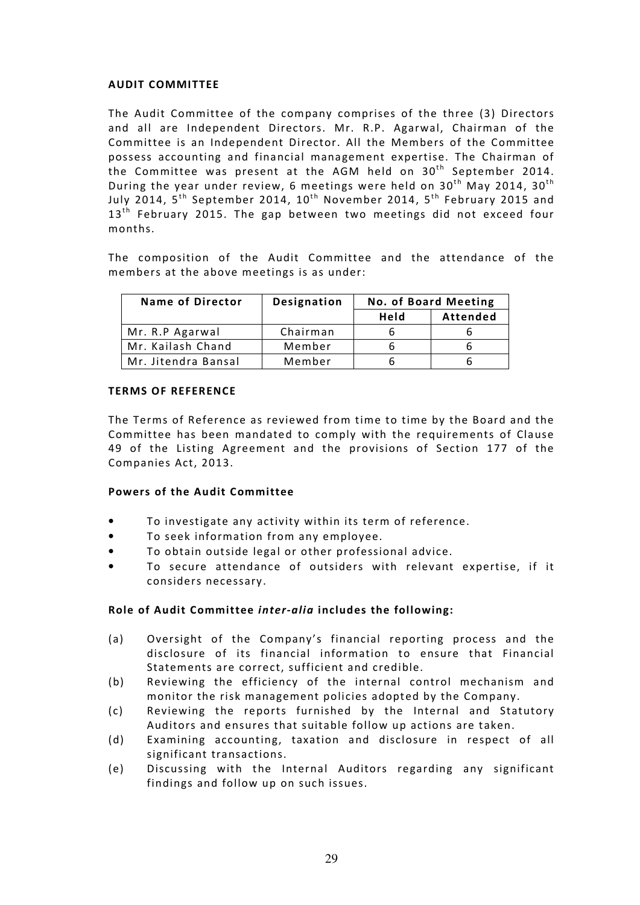## AUDIT COMMITTEE

The Audit Committee of the company comprises of the three (3) Directors and all are Independent Directors. Mr. R.P. Agarwal, Chairman of the Committee is an Independent Director. All the Members of the Committee possess accounting and financial management expertise. The Chairman of the Committee was present at the AGM held on  $30<sup>th</sup>$  September 2014. During the year under review, 6 meetings were held on  $30<sup>th</sup>$  May 2014,  $30<sup>th</sup>$ July 2014,  $5^{th}$  September 2014,  $10^{th}$  November 2014,  $5^{th}$  February 2015 and  $13<sup>th</sup>$  February 2015. The gap between two meetings did not exceed four months.

The composition of the Audit Committee and the attendance of the members at the above meetings is as under:

| <b>Name of Director</b> | Designation | <b>No. of Board Meeting</b> |                 |
|-------------------------|-------------|-----------------------------|-----------------|
|                         |             | Held                        | <b>Attended</b> |
| Mr. R.P Agarwal         | Chairman    |                             |                 |
| Mr. Kailash Chand       | Member      |                             |                 |
| Mr. Jitendra Bansal     | Member      |                             |                 |

## TERMS OF REFERENCE

The Terms of Reference as reviewed from time to time by the Board and the Committee has been mandated to comply with the requirements of Clause 49 of the Listing Agreement and the provisions of Section 177 of the Companies Act, 2013.

# Powers of the Audit Committee

- To investigate any activity within its term of reference.
- To seek information from any employee.
- To obtain outside legal or other professional advice.
- To secure attendance of outsiders with relevant expertise, if it considers necessary.

# Role of Audit Committee inter-alia includes the following:

- (a) Oversight of the Company's financial reporting process and the disclosure of its financial information to ensure that Financial Statements are correct, sufficient and credible.
- (b) Reviewing the efficiency of the internal control mechanism and monitor the risk management policies adopted by the Company.
- (c) Reviewing the reports furnished by the Internal and Statutory Auditors and ensures that suitable follow up actions are taken.
- (d) Examining accounting, taxation and disclosure in respect of all significant transactions.
- (e) Discussing with the Internal Auditors regarding any significant findings and follow up on such issues.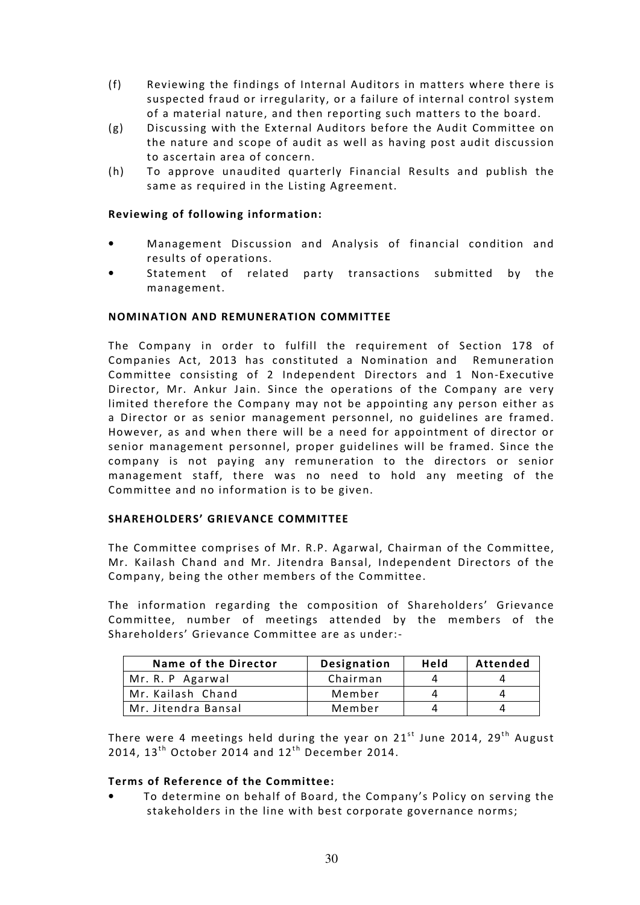- (f) Reviewing the findings of Internal Auditors in matters where there is suspected fraud or irregularity, or a failure of internal control system of a material nature, and then reporting such matters to the board.
- (g) Discussing with the External Auditors before the Audit Committee on the nature and scope of audit as well as having post audit discussion to ascertain area of concern.
- (h) To approve unaudited quarterly Financial Results and publish the same as required in the Listing Agreement.

# Reviewing of following information:

- Management Discussion and Analysis of financial condition and results of operations.
- Statement of related party transactions submitted by the management.

## NOMINATION AND REMUNERATION COMMITTEE

The Company in order to fulfill the requirement of Section 178 of Companies Act, 2013 has constituted a Nomination and Remuneration Committee consisting of 2 Independent Directors and 1 Non-Executive Director, Mr. Ankur Jain. Since the operations of the Company are very limited therefore the Company may not be appointing any person either as a Director or as senior management personnel, no guidelines are framed. However, as and when there will be a need for appointment of director or senior management personnel, proper guidelines will be framed. Since the company is not paying any remuneration to the directors or senior management staff, there was no need to hold any meeting of the Committee and no information is to be given.

## SHAREHOLDERS' GRIEVANCE COMMITTEE

The Committee comprises of Mr. R.P. Agarwal, Chairman of the Committee, Mr. Kailash Chand and Mr. Jitendra Bansal, Independent Directors of the Company, being the other members of the Committee.

The information regarding the composition of Shareholders' Grievance Committee, number of meetings attended by the members of the Shareholders' Grievance Committee are as under:-

| Name of the Director | Designation | Held | Attended |
|----------------------|-------------|------|----------|
| Mr. R. P Agarwal     | Chairman    |      |          |
| Mr. Kailash Chand    | Member      |      |          |
| Mr. Jitendra Bansal  | Member      |      |          |

There were 4 meetings held during the year on  $21^{st}$  June 2014, 29<sup>th</sup> August 2014,  $13<sup>th</sup>$  October 2014 and  $12<sup>th</sup>$  December 2014.

## Terms of Reference of the Committee:

• To determine on behalf of Board, the Company's Policy on serving the stakeholders in the line with best corporate governance norms;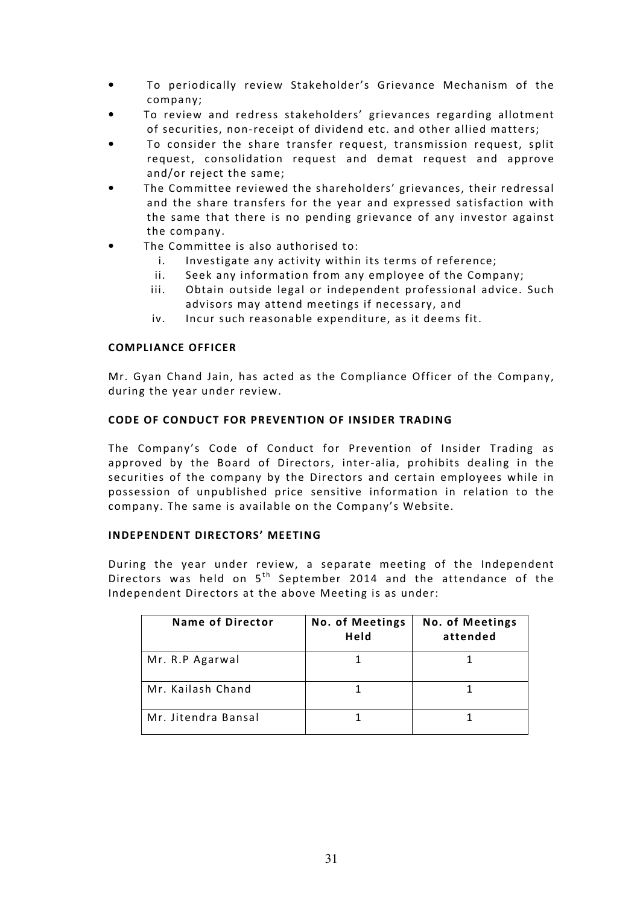- To periodically review Stakeholder's Grievance Mechanism of the company;
- To review and redress stakeholders' grievances regarding allotment of securities, non-receipt of dividend etc. and other allied matters;
- To consider the share transfer request, transmission request, split request, consolidation request and demat request and approve and/or reject the same;
- The Committee reviewed the shareholders' grievances, their redressal and the share transfers for the year and expressed satisfaction with the same that there is no pending grievance of any investor against the company.
- The Committee is also authorised to:
	- i. Investigate any activity within its terms of reference;
	- ii. Seek any information from any employee of the Company;
	- iii. Obtain outside legal or independent professional advice. Such advisors may attend meetings if necessary, and
	- iv. Incur such reasonable expenditure, as it deems fit.

## COMPLIANCE OFFICER

Mr. Gyan Chand Jain, has acted as the Compliance Officer of the Company, during the year under review.

## CODE OF CONDUCT FOR PREVENTION OF INSIDER TRADING

The Company's Code of Conduct for Prevention of Insider Trading as approved by the Board of Directors, inter-alia, prohibits dealing in the securities of the company by the Directors and certain employees while in possession of unpublished price sensitive information in relation to the company. The same is available on the Company's Website.

## INDEPENDENT DIRECTORS' MEETING

During the year under review, a separate meeting of the Independent Directors was held on  $5<sup>th</sup>$  September 2014 and the attendance of the Independent Directors at the above Meeting is as under:

| <b>Name of Director</b> | <b>No. of Meetings</b><br>Held | <b>No. of Meetings</b><br>attended |
|-------------------------|--------------------------------|------------------------------------|
| Mr. R.P Agarwal         |                                |                                    |
| Mr. Kailash Chand       |                                |                                    |
| Mr. Jitendra Bansal     |                                |                                    |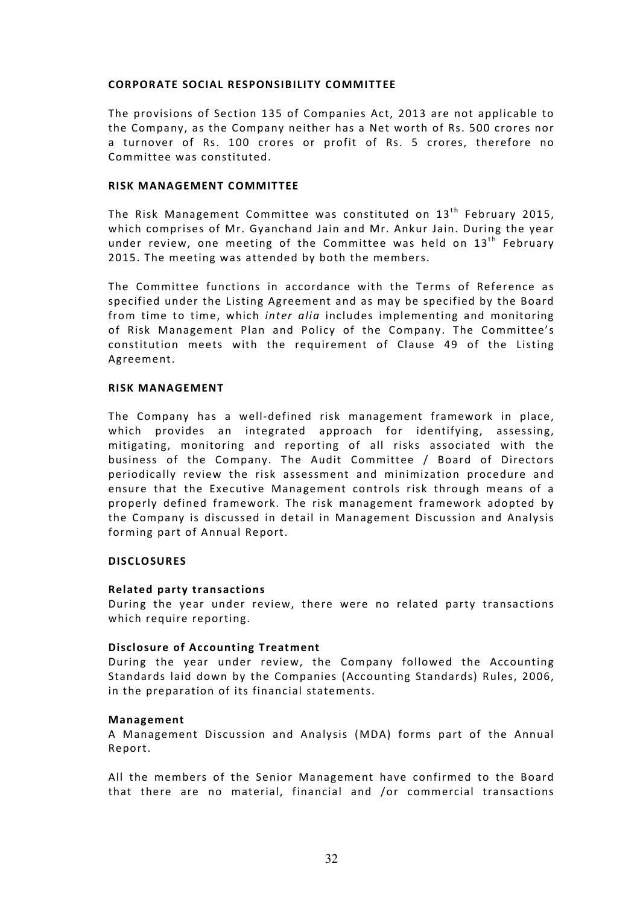## CORPORATE SOCIAL RESPONSIBILITY COMMITTEE

The provisions of Section 135 of Companies Act, 2013 are not applicable to the Company, as the Company neither has a Net worth of Rs. 500 crores nor a turnover of Rs. 100 crores or profit of Rs. 5 crores, therefore no Committee was constituted.

## RISK MANAGEMENT COMMITTEE

The Risk Management Committee was constituted on  $13<sup>th</sup>$  February 2015, which comprises of Mr. Gyanchand Jain and Mr. Ankur Jain. During the year under review, one meeting of the Committee was held on  $13<sup>th</sup>$  February 2015. The meeting was attended by both the members.

The Committee functions in accordance with the Terms of Reference as specified under the Listing Agreement and as may be specified by the Board from time to time, which inter alia includes implementing and monitoring of Risk Management Plan and Policy of the Company. The Committee's constitution meets with the requirement of Clause 49 of the Listing Agreement.

## RISK MANAGEMENT

The Company has a well-defined risk management framework in place, which provides an integrated approach for identifying, assessing, mitigating, monitoring and reporting of all risks associated with the business of the Company. The Audit Committee / Board of Directors periodically review the risk assessment and minimization procedure and ensure that the Executive Management controls risk through means of a properly defined framework. The risk management framework adopted by the Company is discussed in detail in Management Discussion and Analysis forming part of Annual Report.

## **DISCLOSURES**

## Related party transactions

During the year under review, there were no related party transactions which require reporting.

## Disclosure of Accounting Treatment

During the year under review, the Company followed the Accounting Standards laid down by the Companies (Accounting Standards) Rules, 2006, in the preparation of its financial statements.

## Management

A Management Discussion and Analysis (MDA) forms part of the Annual Report.

All the members of the Senior Management have confirmed to the Board that there are no material, financial and /or commercial transactions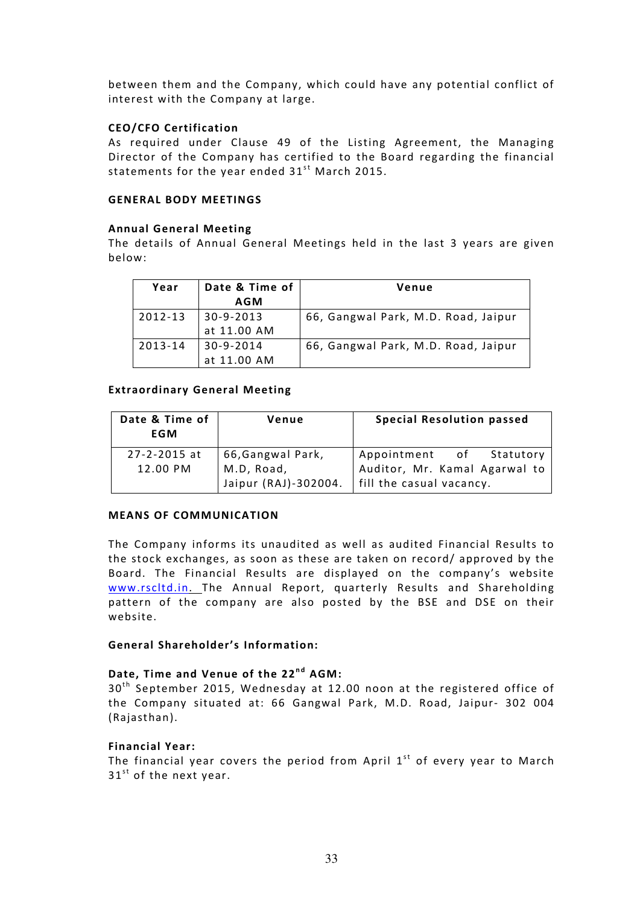between them and the Company, which could have any potential conflict of interest with the Company at large.

# CEO/CFO Certification

As required under Clause 49 of the Listing Agreement, the Managing Director of the Company has certified to the Board regarding the financial statements for the year ended  $31<sup>st</sup>$  March 2015.

## GENERAL BODY MEETINGS

## Annual General Meeting

The details of Annual General Meetings held in the last 3 years are given below:

| Year    | Date & Time of | Venue                               |
|---------|----------------|-------------------------------------|
|         | <b>AGM</b>     |                                     |
| 2012-13 | $ 30-9-2013 $  | 66, Gangwal Park, M.D. Road, Jaipur |
|         | at 11.00 AM    |                                     |
| 2013-14 | 30-9-2014      | 66, Gangwal Park, M.D. Road, Jaipur |
|         | at 11.00 AM    |                                     |

## Extraordinary General Meeting

| Date & Time of<br>EGM          | Venue                                                  | <b>Special Resolution passed</b>                                                        |
|--------------------------------|--------------------------------------------------------|-----------------------------------------------------------------------------------------|
| $27 - 2 - 2015$ at<br>12.00 PM | 66,Gangwal Park,<br>M.D, Road,<br>Jaipur (RAJ)-302004. | Appointment of Statutory<br>Auditor, Mr. Kamal Agarwal to<br>  fill the casual vacancy. |

## MEANS OF COMMUNICATION

The Company informs its unaudited as well as audited Financial Results to the stock exchanges, as soon as these are taken on record/ approved by the Board. The Financial Results are displayed on the company's website www.rscltd.in. The Annual Report, quarterly Results and Shareholding pattern of the company are also posted by the BSE and DSE on their website.

## General Shareholder's Information:

# Date, Time and Venue of the 22<sup>nd</sup> AGM:

 $30<sup>th</sup>$  September 2015, Wednesday at 12.00 noon at the registered office of the Company situated at: 66 Gangwal Park, M.D. Road, Jaipur- 302 004 (Rajasthan).

# Financial Year:

The financial year covers the period from April  $1<sup>st</sup>$  of every year to March  $31<sup>st</sup>$  of the next year.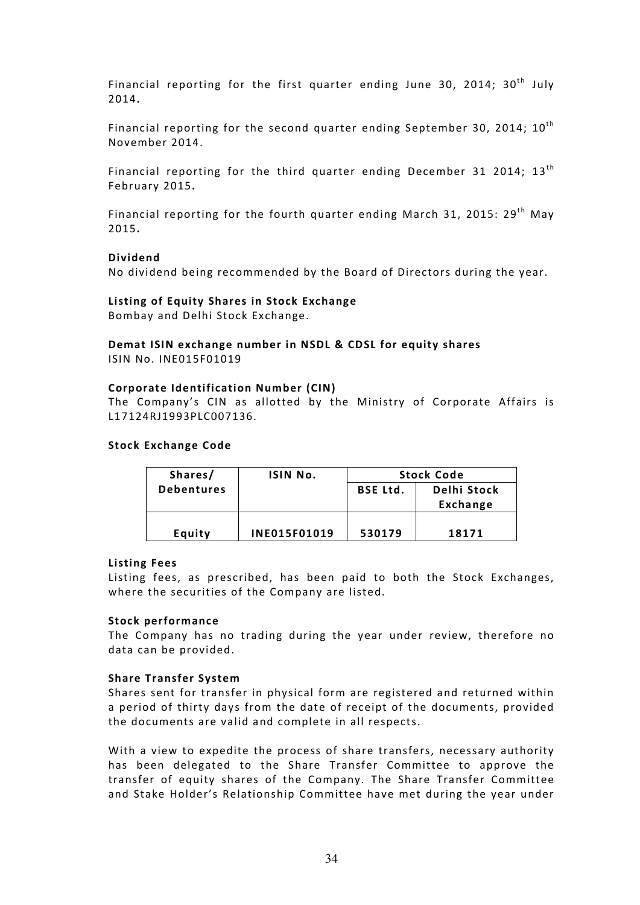Financial reporting for the first quarter ending June 30, 2014;  $30<sup>th</sup>$  July 2014.

Financial reporting for the second quarter ending September 30, 2014;  $10^{th}$ November 2014.

Financial reporting for the third quarter ending December 31 2014;  $13<sup>th</sup>$ February 2015.

Financial reporting for the fourth quarter ending March 31, 2015:  $29<sup>th</sup>$  May 2015.

#### Dividend

No dividend being recommended by the Board of Directors during the year.

## Listing of Equity Shares in Stock Exchange Bombay and Delhi Stock Exchange.

## Demat ISIN exchange number in NSDL & CDSL for equity shares ISIN No. INE015F01019

#### Corporate Identification Number (CIN)

The Company's CIN as allotted by the Ministry of Corporate Affairs is L17124RJ1993PLC007136.

#### Stock Exchange Code

| Shares/           | ISIN No.            | <b>Stock Code</b>              |          |
|-------------------|---------------------|--------------------------------|----------|
| <b>Debentures</b> |                     | Delhi Stock<br><b>BSE Ltd.</b> |          |
|                   |                     |                                | Exchange |
|                   |                     |                                |          |
| Equity            | <b>INE015F01019</b> | 530179                         | 18171    |

#### Listing Fees

Listing fees, as prescribed, has been paid to both the Stock Exchanges, where the securities of the Company are listed.

## Stock performance

The Company has no trading during the year under review, therefore no data can be provided.

## Share Transfer System

Shares sent for transfer in physical form are registered and returned within a period of thirty days from the date of receipt of the documents, provided the documents are valid and complete in all respects.

With a view to expedite the process of share transfers, necessary authority has been delegated to the Share Transfer Committee to approve the transfer of equity shares of the Company. The Share Transfer Committee and Stake Holder's Relationship Committee have met during the year under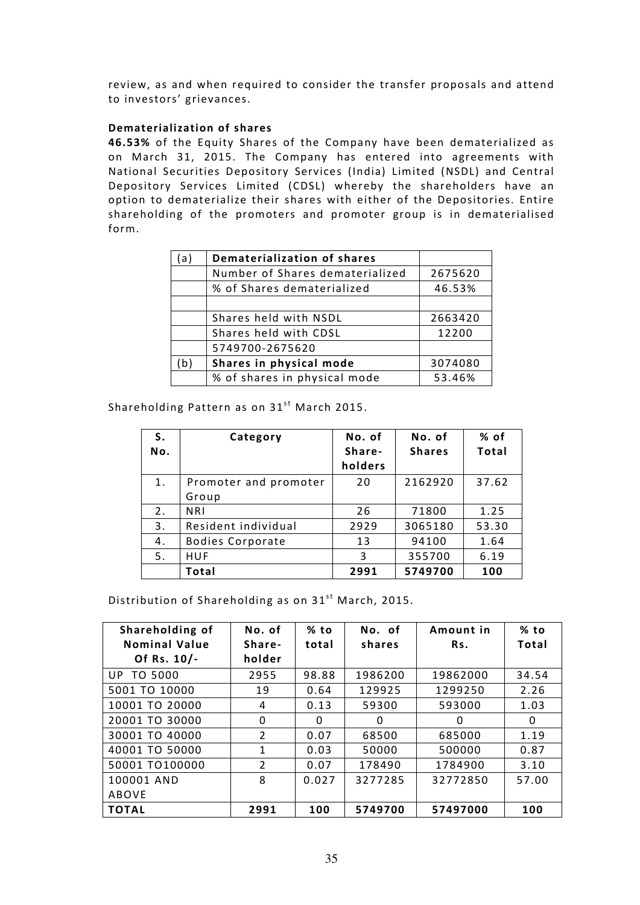review, as and when required to consider the transfer proposals and attend to investors' grievances.

## Dematerialization of shares

46.53% of the Equity Shares of the Company have been dematerialized as on March 31, 2015. The Company has entered into agreements with National Securities Depository Services (India) Limited (NSDL) and Central Depository Services Limited (CDSL) whereby the shareholders have an option to dematerialize their shares with either of the Depositories. Entire shareholding of the promoters and promoter group is in dematerialised form.

| a)           | <b>Dematerialization of shares</b> |         |
|--------------|------------------------------------|---------|
|              | Number of Shares dematerialized    | 2675620 |
|              | % of Shares dematerialized         | 46.53%  |
|              |                                    |         |
|              | Shares held with NSDL              | 2663420 |
|              | Shares held with CDSL              | 12200   |
|              | 5749700-2675620                    |         |
| $\mathsf{b}$ | Shares in physical mode            | 3074080 |
|              | % of shares in physical mode       | 53.46%  |

Shareholding Pattern as on  $31<sup>st</sup>$  March 2015.

| S.<br>No. | Category                       | No. of<br>Share-<br>holders | No. of<br><b>Shares</b> | % of<br>Total |
|-----------|--------------------------------|-----------------------------|-------------------------|---------------|
| 1.        | Promoter and promoter<br>Group | 20                          | 2162920                 | 37.62         |
| 2.        | <b>NRI</b>                     | 26                          | 71800                   | 1.25          |
| 3.        | Resident individual            | 2929                        | 3065180                 | 53.30         |
| 4.        | <b>Bodies Corporate</b>        | 13                          | 94100                   | 1.64          |
| 5.        | <b>HUF</b>                     | 3                           | 355700                  | 6.19          |
|           | Total                          | 2991                        | 5749700                 | 100           |

Distribution of Shareholding as on  $31^{st}$  March, 2015.

| Shareholding of      | No. of         | % to  | No. of  | Amount in | $%$ to |
|----------------------|----------------|-------|---------|-----------|--------|
| <b>Nominal Value</b> | Share-         | total | shares  | Rs.       | Total  |
| Of Rs. 10/-          | holder         |       |         |           |        |
| <b>UP TO 5000</b>    | 2955           | 98.88 | 1986200 | 19862000  | 34.54  |
| 5001 TO 10000        | 19             | 0.64  | 129925  | 1299250   | 2.26   |
| 10001 TO 20000       | 4              | 0.13  | 59300   | 593000    | 1.03   |
| 20001 TO 30000       | 0              | 0     | 0       | 0         | 0      |
| 30001 TO 40000       | $\overline{2}$ | 0.07  | 68500   | 685000    | 1.19   |
| 40001 TO 50000       | 1              | 0.03  | 50000   | 500000    | 0.87   |
| 50001 TO100000       | $\overline{2}$ | 0.07  | 178490  | 1784900   | 3.10   |
| 100001 AND           | 8              | 0.027 | 3277285 | 32772850  | 57.00  |
| ABOVE                |                |       |         |           |        |
| <b>TOTAL</b>         | 2991           | 100   | 5749700 | 57497000  | 100    |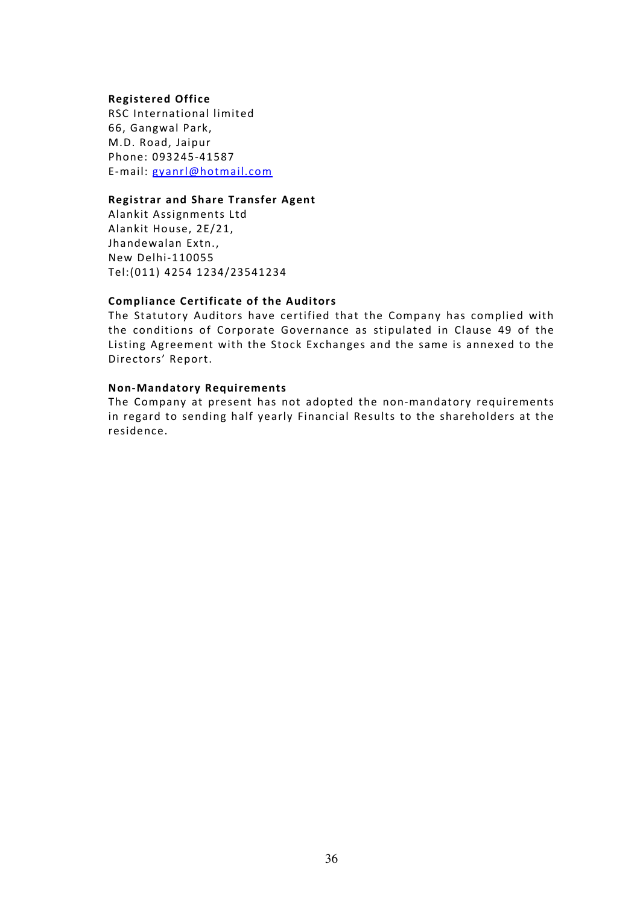#### Registered Office

RSC International limited 66, Gangwal Park, M.D. Road, Jaipur Phone: 093245-41587 E-mail: gyanrl@hotmail.com

## Registrar and Share Transfer Agent

Alankit Assignments Ltd Alankit House, 2E/21, Jhandewalan Extn., New Delhi-110055 Tel:(011) 4254 1234/23541234

## Compliance Certificate of the Auditors

The Statutory Auditors have certified that the Company has complied with the conditions of Corporate Governance as stipulated in Clause 49 of the Listing Agreement with the Stock Exchanges and the same is annexed to the Directors' Report.

#### Non-Mandatory Requirements

The Company at present has not adopted the non-mandatory requirements in regard to sending half yearly Financial Results to the shareholders at the residence.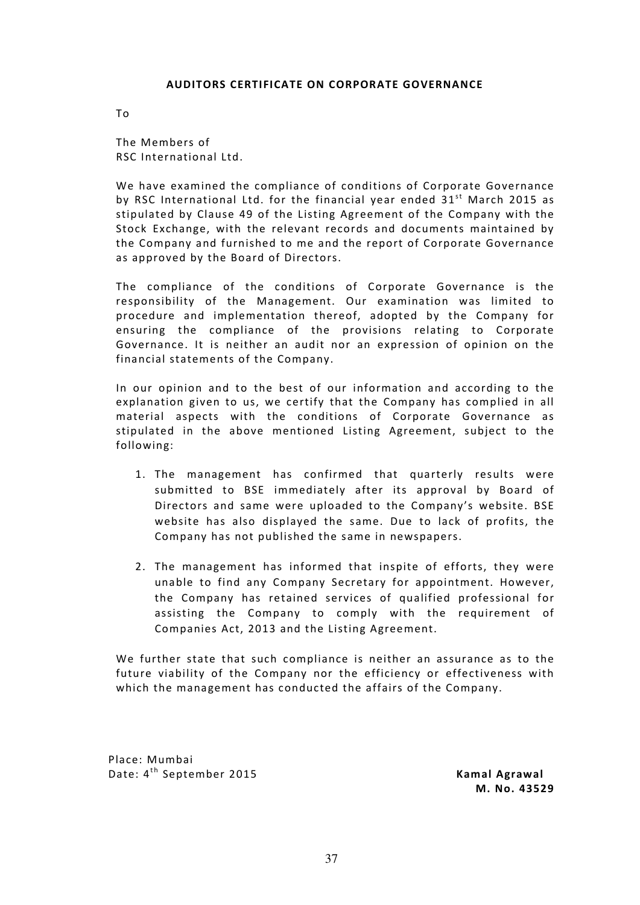#### AUDITORS CERTIFICATE ON CORPORATE GOVERNANCE

To

The Members of RSC International Ltd.

We have examined the compliance of conditions of Corporate Governance by RSC International Ltd. for the financial year ended  $31<sup>st</sup>$  March 2015 as stipulated by Clause 49 of the Listing Agreement of the Company with the Stock Exchange, with the relevant records and documents maintained by the Company and furnished to me and the report of Corporate Governance as approved by the Board of Directors.

The compliance of the conditions of Corporate Governance is the responsibility of the Management. Our examination was limited to procedure and implementation thereof, adopted by the Company for ensuring the compliance of the provisions relating to Corporate Governance. It is neither an audit nor an expression of opinion on the financial statements of the Company.

In our opinion and to the best of our information and according to the explanation given to us, we certify that the Company has complied in all material aspects with the conditions of Corporate Governance as stipulated in the above mentioned Listing Agreement, subject to the following:

- 1. The management has confirmed that quarterly results were submitted to BSE immediately after its approval by Board of Directors and same were uploaded to the Company's website. BSE website has also displayed the same. Due to lack of profits, the Company has not published the same in newspapers.
- 2. The management has informed that inspite of efforts, they were unable to find any Company Secretary for appointment. However, the Company has retained services of qualified professional for assisting the Company to comply with the requirement of Companies Act, 2013 and the Listing Agreement.

We further state that such compliance is neither an assurance as to the future viability of the Company nor the efficiency or effectiveness with which the management has conducted the affairs of the Company.

Place: Mumbai Date: 4<sup>th</sup> September 2015 **Kamal Agrawal** 

M. No. 43529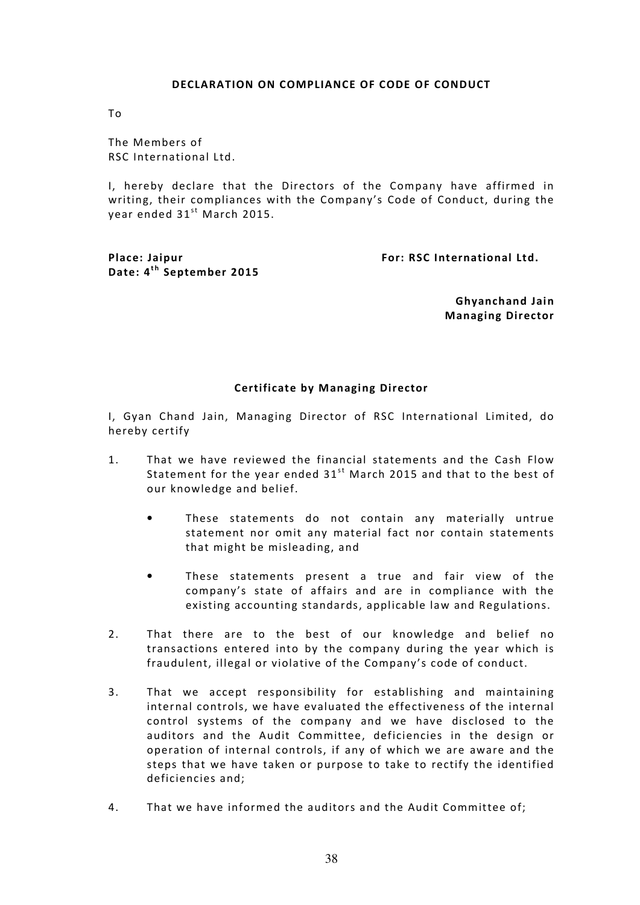#### DECLARATION ON COMPLIANCE OF CODE OF CONDUCT

To

The Members of RSC International Ltd.

I, hereby declare that the Directors of the Company have affirmed in writing, their compliances with the Company's Code of Conduct, during the year ended  $31<sup>st</sup>$  March 2015.

Date: 4<sup>th</sup> September 2015

Place: Jaipur For: RSC International Ltd.

 Ghyanchand Jain Managing Director

## Certificate by Managing Director

I, Gyan Chand Jain, Managing Director of RSC International Limited, do hereby certify

- 1. That we have reviewed the financial statements and the Cash Flow Statement for the year ended  $31<sup>st</sup>$  March 2015 and that to the best of our knowledge and belief.
	- These statements do not contain any materially untrue statement nor omit any material fact nor contain statements that might be misleading, and
	- These statements present a true and fair view of the company's state of affairs and are in compliance with the existing accounting standards, applicable law and Regulations.
- 2. That there are to the best of our knowledge and belief no transactions entered into by the company during the year which is fraudulent, illegal or violative of the Company's code of conduct.
- 3. That we accept responsibility for establishing and maintaining internal controls, we have evaluated the effectiveness of the internal control systems of the company and we have disclosed to the auditors and the Audit Committee, deficiencies in the design or operation of internal controls, if any of which we are aware and the steps that we have taken or purpose to take to rectify the identified deficiencies and;
- 4. That we have informed the auditors and the Audit Committee of;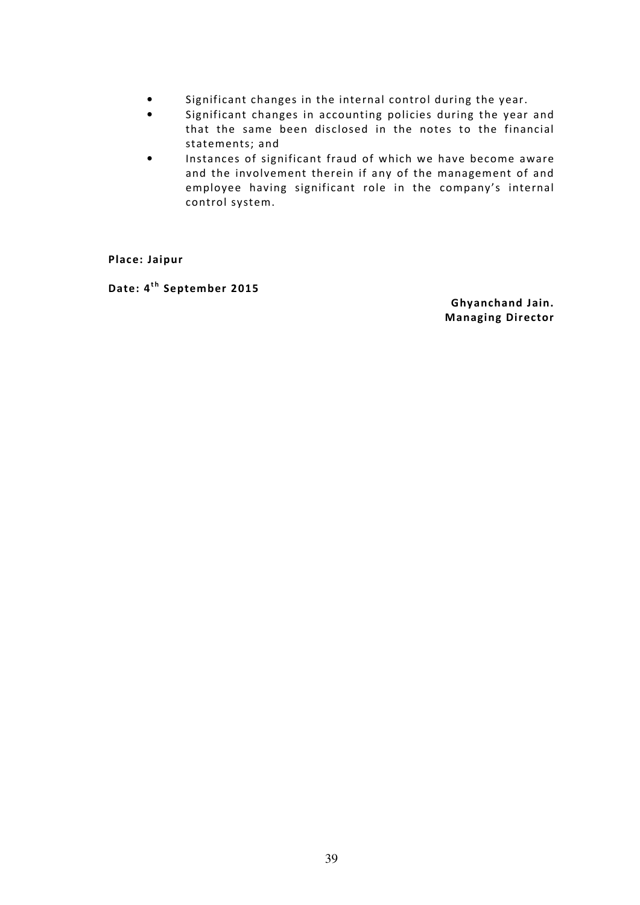- Significant changes in the internal control during the year.
- Significant changes in accounting policies during the year and that the same been disclosed in the notes to the financial statements; and
- Instances of significant fraud of which we have become aware and the involvement therein if any of the management of and employee having significant role in the company's internal control system.

Place: Jaipur

Date: 4<sup>th</sup> September 2015

 Ghyanchand Jain. Managing Director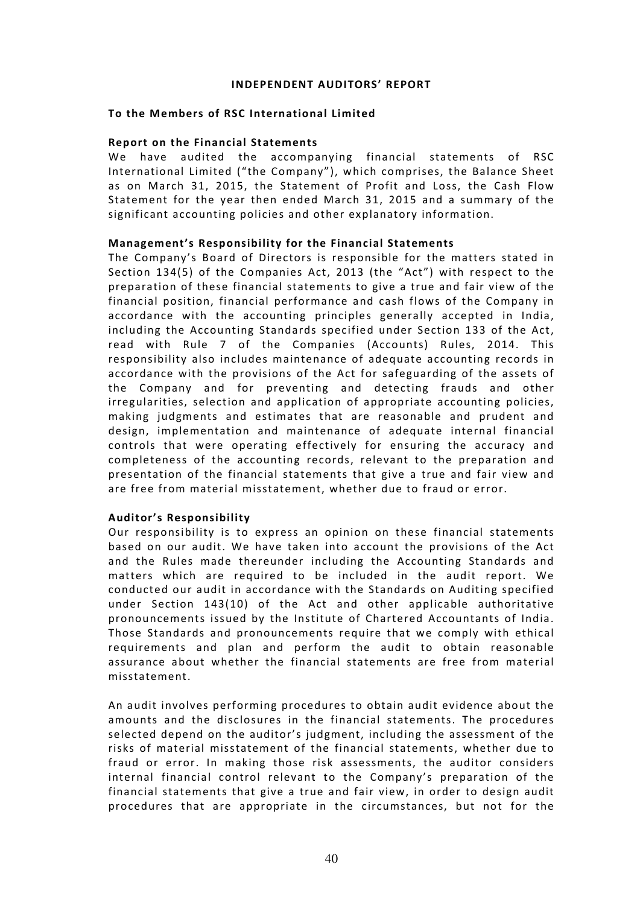#### INDEPENDENT AUDITORS' REPORT

## To the Members of RSC International Limited

#### Report on the Financial Statements

We have audited the accompanying financial statements of RSC International Limited ("the Company"), which comprises, the Balance Sheet as on March 31, 2015, the Statement of Profit and Loss, the Cash Flow Statement for the year then ended March 31, 2015 and a summary of the significant accounting policies and other explanatory information.

## Management's Responsibility for the Financial Statements

The Company's Board of Directors is responsible for the matters stated in Section 134(5) of the Companies Act, 2013 (the "Act") with respect to the preparation of these financial statements to give a true and fair view of the financial position, financial performance and cash flows of the Company in accordance with the accounting principles generally accepted in India, including the Accounting Standards specified under Section 133 of the Act, read with Rule 7 of the Companies (Accounts) Rules, 2014. This responsibility also includes maintenance of adequate accounting records in accordance with the provisions of the Act for safeguarding of the assets of the Company and for preventing and detecting frauds and other irregularities, selection and application of appropriate accounting policies, making judgments and estimates that are reasonable and prudent and design, implementation and maintenance of adequate internal financial controls that were operating effectively for ensuring the accuracy and completeness of the accounting records, relevant to the preparation and presentation of the financial statements that give a true and fair view and are free from material misstatement, whether due to fraud or error.

## Auditor's Responsibility

Our responsibility is to express an opinion on these financial statements based on our audit. We have taken into account the provisions of the Act and the Rules made thereunder including the Accounting Standards and matters which are required to be included in the audit report. We conducted our audit in accordance with the Standards on Auditing specified under Section 143(10) of the Act and other applicable authoritative pronouncements issued by the Institute of Chartered Accountants of India. Those Standards and pronouncements require that we comply with ethical requirements and plan and perform the audit to obtain reasonable assurance about whether the financial statements are free from material misstatement.

An audit involves performing procedures to obtain audit evidence about the amounts and the disclosures in the financial statements. The procedures selected depend on the auditor's judgment, including the assessment of the risks of material misstatement of the financial statements, whether due to fraud or error. In making those risk assessments, the auditor considers internal financial control relevant to the Company's preparation of the financial statements that give a true and fair view, in order to design audit procedures that are appropriate in the circumstances, but not for the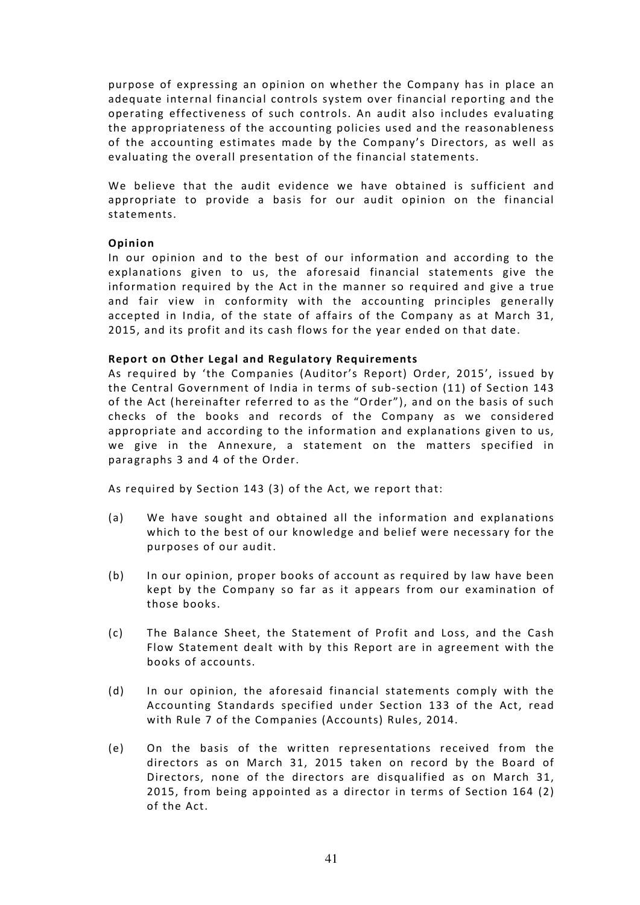purpose of expressing an opinion on whether the Company has in place an adequate internal financial controls system over financial reporting and the operating effectiveness of such controls. An audit also includes evaluating the appropriateness of the accounting policies used and the reasonableness of the accounting estimates made by the Company's Directors, as well as evaluating the overall presentation of the financial statements.

We believe that the audit evidence we have obtained is sufficient and appropriate to provide a basis for our audit opinion on the financial statements.

## Opinion

In our opinion and to the best of our information and according to the explanations given to us, the aforesaid financial statements give the information required by the Act in the manner so required and give a true and fair view in conformity with the accounting principles generally accepted in India, of the state of affairs of the Company as at March 31, 2015, and its profit and its cash flows for the year ended on that date.

## Report on Other Legal and Regulatory Requirements

As required by 'the Companies (Auditor's Report) Order, 2015', issued by the Central Government of India in terms of sub-section (11) of Section 143 of the Act (hereinafter referred to as the "Order"), and on the basis of such checks of the books and records of the Company as we considered appropriate and according to the information and explanations given to us, we give in the Annexure, a statement on the matters specified in paragraphs 3 and 4 of the Order.

As required by Section 143 (3) of the Act, we report that:

- (a) We have sought and obtained all the information and explanations which to the best of our knowledge and belief were necessary for the purposes of our audit.
- (b) In our opinion, proper books of account as required by law have been kept by the Company so far as it appears from our examination of those books.
- (c) The Balance Sheet, the Statement of Profit and Loss, and the Cash Flow Statement dealt with by this Report are in agreement with the books of accounts.
- (d) In our opinion, the aforesaid financial statements comply with the Accounting Standards specified under Section 133 of the Act, read with Rule 7 of the Companies (Accounts) Rules, 2014.
- (e) On the basis of the written representations received from the directors as on March 31, 2015 taken on record by the Board of Directors, none of the directors are disqualified as on March 31, 2015, from being appointed as a director in terms of Section 164 (2) of the Act.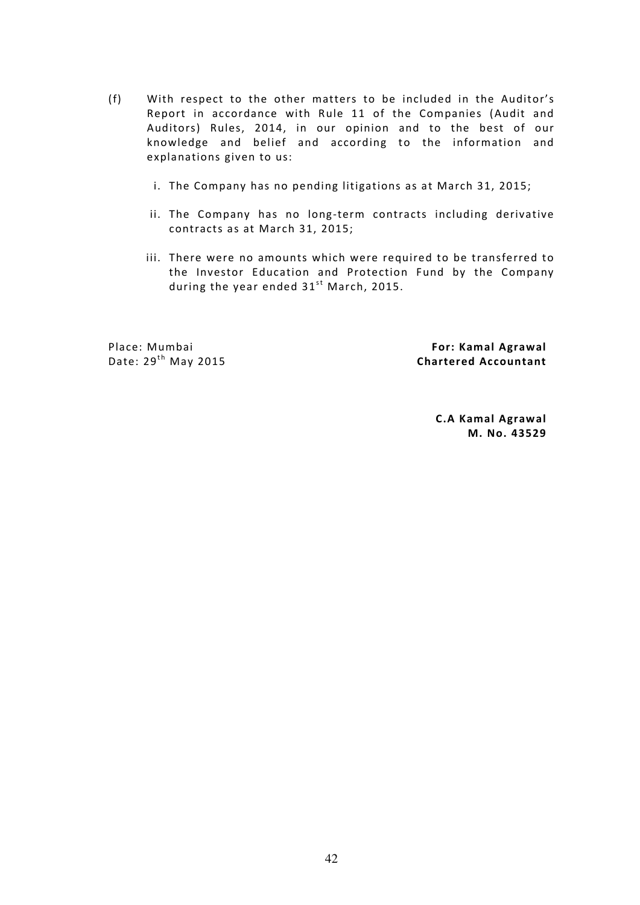- (f) With respect to the other matters to be included in the Auditor's Report in accordance with Rule 11 of the Companies (Audit and Auditors) Rules, 2014, in our opinion and to the best of our knowledge and belief and according to the information and explanations given to us:
	- i. The Company has no pending litigations as at March 31, 2015;
	- ii. The Company has no long-term contracts including derivative contracts as at March 31, 2015;
	- iii. There were no amounts which were required to be transferred to the Investor Education and Protection Fund by the Company during the year ended  $31^{st}$  March, 2015.

Place: Mumbai Date:  $29<sup>th</sup>$  May 2015

 For: Kamal Agrawal Chartered Accountant

> C.A Kamal Agrawal M. No. 43529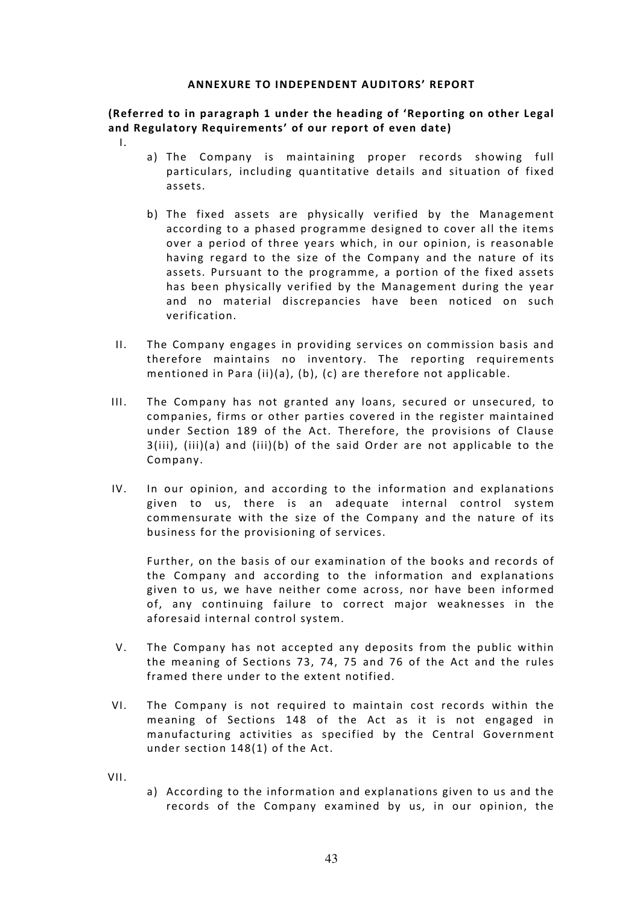#### ANNEXURE TO INDEPENDENT AUDITORS' REPORT

(Referred to in paragraph 1 under the heading of 'Reporting on other Legal and Regulatory Requirements' of our report of even date)

- I.
- a) The Company is maintaining proper records showing full particulars, including quantitative details and situation of fixed assets.
- b) The fixed assets are physically verified by the Management according to a phased programme designed to cover all the items over a period of three years which, in our opinion, is reasonable having regard to the size of the Company and the nature of its assets. Pursuant to the programme, a portion of the fixed assets has been physically verified by the Management during the year and no material discrepancies have been noticed on such verification.
- II. The Company engages in providing services on commission basis and therefore maintains no inventory. The reporting requirements mentioned in Para (ii)(a), (b), (c) are therefore not applicable.
- III. The Company has not granted any loans, secured or unsecured, to companies, firms or other parties covered in the register maintained under Section 189 of the Act. Therefore, the provisions of Clause 3(iii), (iii)(a) and (iii)(b) of the said Order are not applicable to the Company.
- IV. In our opinion, and according to the information and explanations given to us, there is an adequate internal control system commensurate with the size of the Company and the nature of its business for the provisioning of services.

Further, on the basis of our examination of the books and records of the Company and according to the information and explanations given to us, we have neither come across, nor have been informed of, any continuing failure to correct major weaknesses in the aforesaid internal control system.

- V. The Company has not accepted any deposits from the public within the meaning of Sections 73, 74, 75 and 76 of the Act and the rules framed there under to the extent notified.
- VI. The Company is not required to maintain cost records within the meaning of Sections 148 of the Act as it is not engaged in manufacturing activities as specified by the Central Government under section 148(1) of the Act.

VII.

a) According to the information and explanations given to us and the records of the Company examined by us, in our opinion, the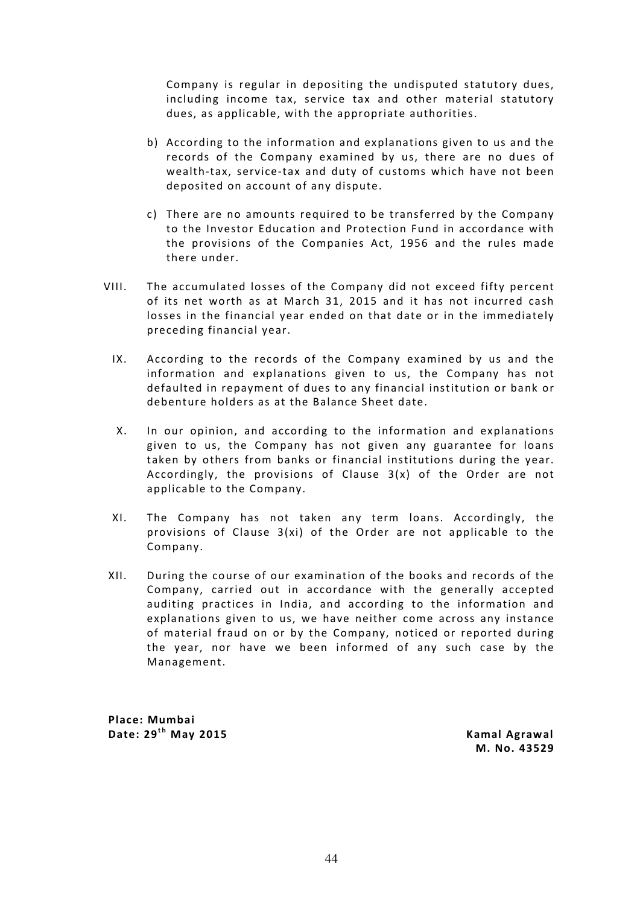Company is regular in depositing the undisputed statutory dues, including income tax, service tax and other material statutory dues, as applicable, with the appropriate authorities.

- b) According to the information and explanations given to us and the records of the Company examined by us, there are no dues of wealth-tax, service-tax and duty of customs which have not been deposited on account of any dispute.
- c) There are no amounts required to be transferred by the Company to the Investor Education and Protection Fund in accordance with the provisions of the Companies Act, 1956 and the rules made there under.
- VIII. The accumulated losses of the Company did not exceed fifty percent of its net worth as at March 31, 2015 and it has not incurred cash losses in the financial year ended on that date or in the immediately preceding financial year.
	- IX. According to the records of the Company examined by us and the information and explanations given to us, the Company has not defaulted in repayment of dues to any financial institution or bank or debenture holders as at the Balance Sheet date.
	- X. In our opinion, and according to the information and explanations given to us, the Company has not given any guarantee for loans taken by others from banks or financial institutions during the year. Accordingly, the provisions of Clause 3(x) of the Order are not applicable to the Company.
	- XI. The Company has not taken any term loans. Accordingly, the provisions of Clause  $3(xi)$  of the Order are not applicable to the Company.
- XII. During the course of our examination of the books and records of the Company, carried out in accordance with the generally accepted auditing practices in India, and according to the information and explanations given to us, we have neither come across any instance of material fraud on or by the Company, noticed or reported during the year, nor have we been informed of any such case by the Management.

Place: Mumbai Date: 29<sup>th</sup> May 2015 **Kamal Agrawal** 

M. No. 43529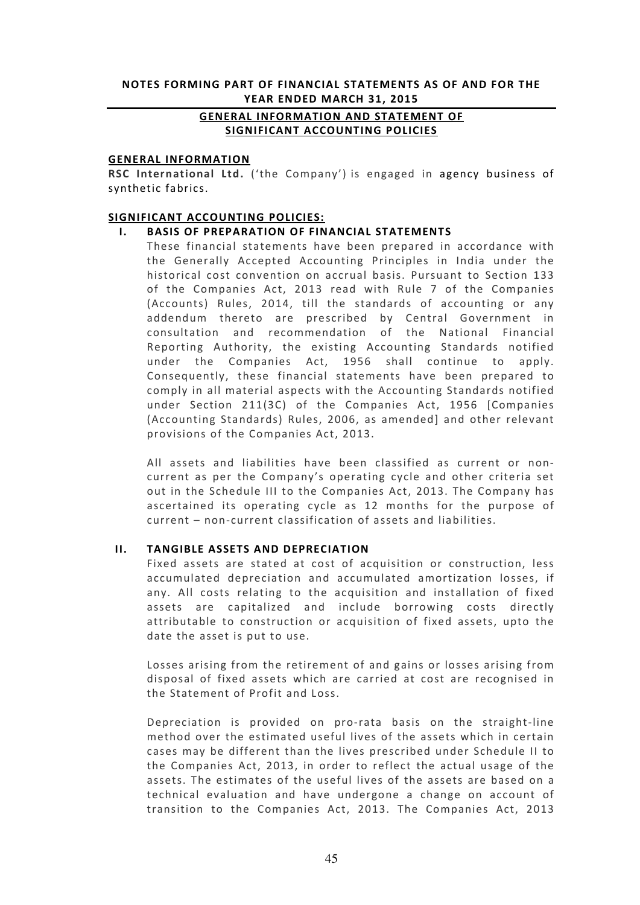## NOTES FORMING PART OF FINANCIAL STATEMENTS AS OF AND FOR THE YEAR ENDED MARCH 31, 2015

# GENERAL INFORMATION AND STATEMENT OF SIGNIFICANT ACCOUNTING POLICIES

#### GENERAL INFORMATION

RSC International Ltd. ('the Company') is engaged in agency business of synthetic fabrics.

#### SIGNIFICANT ACCOUNTING POLICIES:

## I. BASIS OF PREPARATION OF FINANCIAL STATEMENTS

These financial statements have been prepared in accordance with the Generally Accepted Accounting Principles in India under the historical cost convention on accrual basis. Pursuant to Section 133 of the Companies Act, 2013 read with Rule 7 of the Companies (Accounts) Rules, 2014, till the standards of accounting or any addendum thereto are prescribed by Central Government in consultation and recommendation of the National Financial Reporting Authority, the existing Accounting Standards notified under the Companies Act, 1956 shall continue to apply. Consequently, these financial statements have been prepared to comply in all material aspects with the Accounting Standards notified under Section 211(3C) of the Companies Act, 1956 [Companies (Accounting Standards) Rules, 2006, as amended] and other relevant provisions of the Companies Act, 2013.

All assets and liabilities have been classified as current or noncurrent as per the Company's operating cycle and other criteria set out in the Schedule III to the Companies Act, 2013. The Company has ascertained its operating cycle as 12 months for the purpose of current – non-current classification of assets and liabilities.

## II. TANGIBLE ASSETS AND DEPRECIATION

Fixed assets are stated at cost of acquisition or construction, less accumulated depreciation and accumulated amortization losses, if any. All costs relating to the acquisition and installation of fixed assets are capitalized and include borrowing costs directly attributable to construction or acquisition of fixed assets, upto the date the asset is put to use.

Losses arising from the retirement of and gains or losses arising from disposal of fixed assets which are carried at cost are recognised in the Statement of Profit and Loss.

Depreciation is provided on pro-rata basis on the straight-line method over the estimated useful lives of the assets which in certain cases may be different than the lives prescribed under Schedule II to the Companies Act, 2013, in order to reflect the actual usage of the assets. The estimates of the useful lives of the assets are based on a technical evaluation and have undergone a change on account of transition to the Companies Act, 2013. The Companies Act, 2013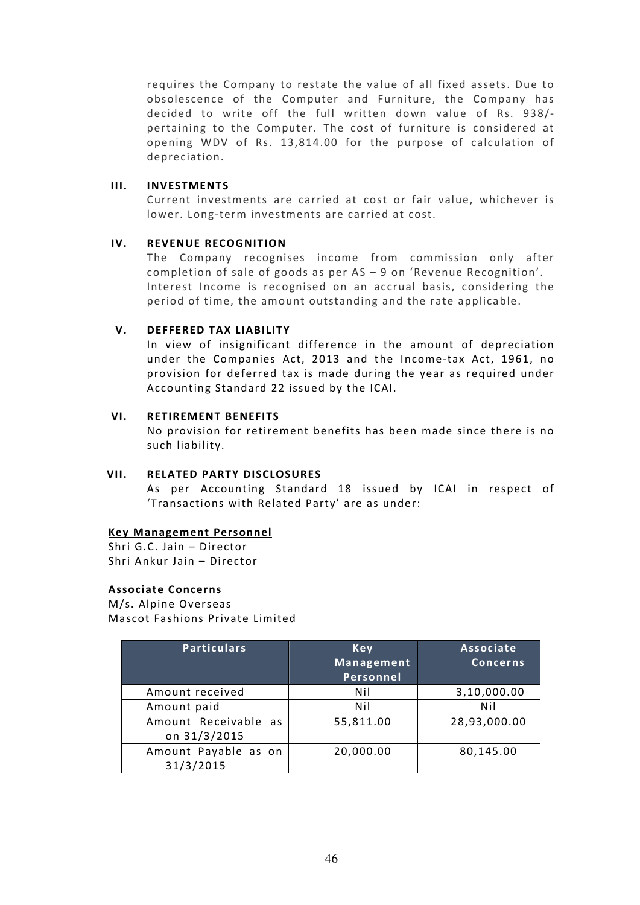requires the Company to restate the value of all fixed assets. Due to obsolescence of the Computer and Furniture, the Company has decided to write off the full written down value of Rs. 938/ pertaining to the Computer. The cost of furniture is considered at opening WDV of Rs. 13,814.00 for the purpose of calculation of depreciation.

## III. INVESTMENTS

Current investments are carried at cost or fair value, whichever is lower. Long-term investments are carried at cost.

# IV. REVENUE RECOGNITION

The Company recognises income from commission only after completion of sale of goods as per AS – 9 on 'Revenue Recognition'. Interest Income is recognised on an accrual basis, considering the period of time, the amount outstanding and the rate applicable.

## V. DEFFERED TAX LIABILITY

In view of insignificant difference in the amount of depreciation under the Companies Act, 2013 and the Income-tax Act, 1961, no provision for deferred tax is made during the year as required under Accounting Standard 22 issued by the ICAI.

## VI. RETIREMENT BENEFITS

No provision for retirement benefits has been made since there is no such liability.

## VII. RELATED PARTY DISCLOSURES

As per Accounting Standard 18 issued by ICAI in respect of 'Transactions with Related Party' are as under:

# Key Management Personnel

Shri G.C. Jain – Director Shri Ankur Jain – Director

## Associate Concerns

M/s. Alpine Overseas Mascot Fashions Private Limited

| <b>Particulars</b>                   | Key<br>Management<br>Personnel | Associate<br><b>Concerns</b> |
|--------------------------------------|--------------------------------|------------------------------|
| Amount received                      | Nil                            | 3,10,000.00                  |
| Amount paid                          | Nil                            | Nil                          |
| Amount Receivable as<br>on 31/3/2015 | 55,811.00                      | 28,93,000.00                 |
| Amount Payable as on<br>31/3/2015    | 20,000.00                      | 80,145.00                    |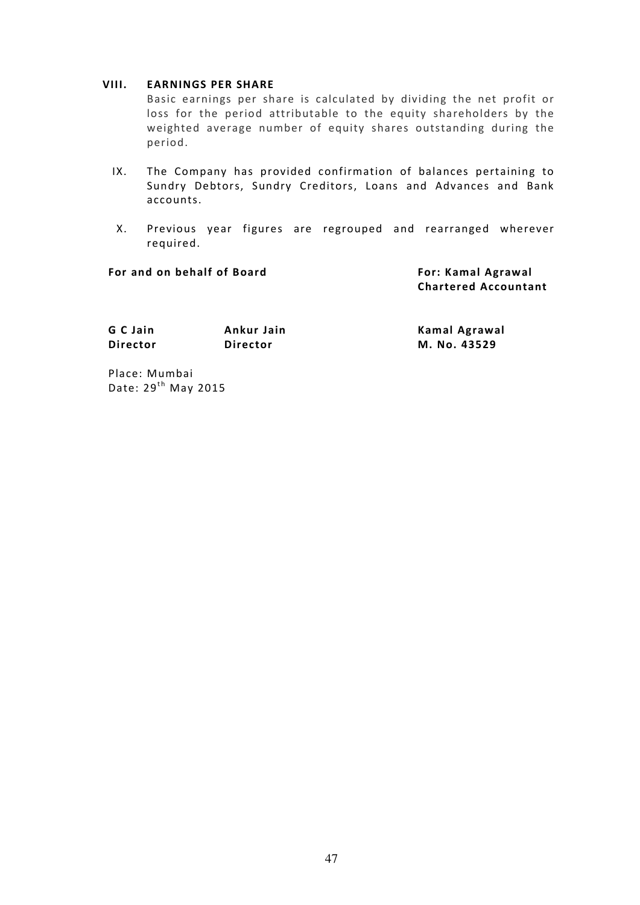#### VIII. EARNINGS PER SHARE

Basic earnings per share is calculated by dividing the net profit or loss for the period attributable to the equity shareholders by the weighted average number of equity shares outstanding during the period.

- IX. The Company has provided confirmation of balances pertaining to Sundry Debtors, Sundry Creditors, Loans and Advances and Bank accounts.
- X. Previous year figures are regrouped and rearranged wherever required.

| For and on behalf of Board |                 | For: Kamal Agrawal<br><b>Chartered Accountant</b> |
|----------------------------|-----------------|---------------------------------------------------|
| G C Jain                   | Ankur Jain      | Kamal Agrawal                                     |
| <b>Director</b>            | <b>Director</b> | M. No. 43529                                      |

Place: Mumbai Date:  $29<sup>th</sup>$  May 2015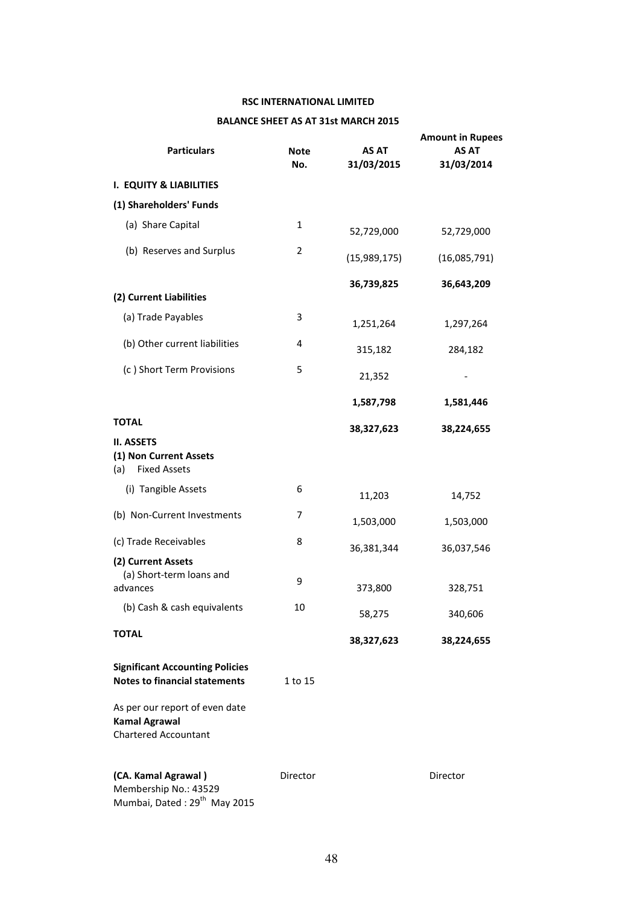# RSC INTERNATIONAL LIMITED

#### BALANCE SHEET AS AT 31st MARCH 2015

| <b>Particulars</b>                                                                       | <b>Note</b><br>No. | <b>AS AT</b><br>31/03/2015 | <b>Amount in Rupees</b><br><b>AS AT</b><br>31/03/2014 |
|------------------------------------------------------------------------------------------|--------------------|----------------------------|-------------------------------------------------------|
| <b>I. EQUITY &amp; LIABILITIES</b>                                                       |                    |                            |                                                       |
| (1) Shareholders' Funds                                                                  |                    |                            |                                                       |
| (a) Share Capital                                                                        | 1                  | 52,729,000                 | 52,729,000                                            |
| (b) Reserves and Surplus                                                                 | 2                  | (15,989,175)               | (16,085,791)                                          |
| (2) Current Liabilities                                                                  |                    | 36,739,825                 | 36,643,209                                            |
|                                                                                          |                    |                            |                                                       |
| (a) Trade Payables                                                                       | 3                  | 1,251,264                  | 1,297,264                                             |
| (b) Other current liabilities                                                            | 4                  | 315,182                    | 284,182                                               |
| (c) Short Term Provisions                                                                | 5                  | 21,352                     |                                                       |
|                                                                                          |                    | 1,587,798                  | 1,581,446                                             |
| <b>TOTAL</b>                                                                             |                    | 38,327,623                 | 38,224,655                                            |
| <b>II. ASSETS</b><br>(1) Non Current Assets<br><b>Fixed Assets</b><br>(a)                |                    |                            |                                                       |
| (i) Tangible Assets                                                                      | 6                  | 11,203                     | 14,752                                                |
| (b) Non-Current Investments                                                              | 7                  | 1,503,000                  | 1,503,000                                             |
| (c) Trade Receivables                                                                    | 8                  | 36,381,344                 | 36,037,546                                            |
| (2) Current Assets<br>(a) Short-term loans and<br>advances                               | 9                  | 373,800                    | 328,751                                               |
| (b) Cash & cash equivalents                                                              | 10                 | 58,275                     | 340,606                                               |
| <b>TOTAL</b>                                                                             |                    | 38,327,623                 | 38,224,655                                            |
| <b>Significant Accounting Policies</b><br><b>Notes to financial statements</b>           | 1 to 15            |                            |                                                       |
| As per our report of even date<br><b>Kamal Agrawal</b><br><b>Chartered Accountant</b>    |                    |                            |                                                       |
| (CA. Kamal Agrawal)<br>Membership No.: 43529<br>Mumbai, Dated: 29 <sup>th</sup> May 2015 | Director           |                            | Director                                              |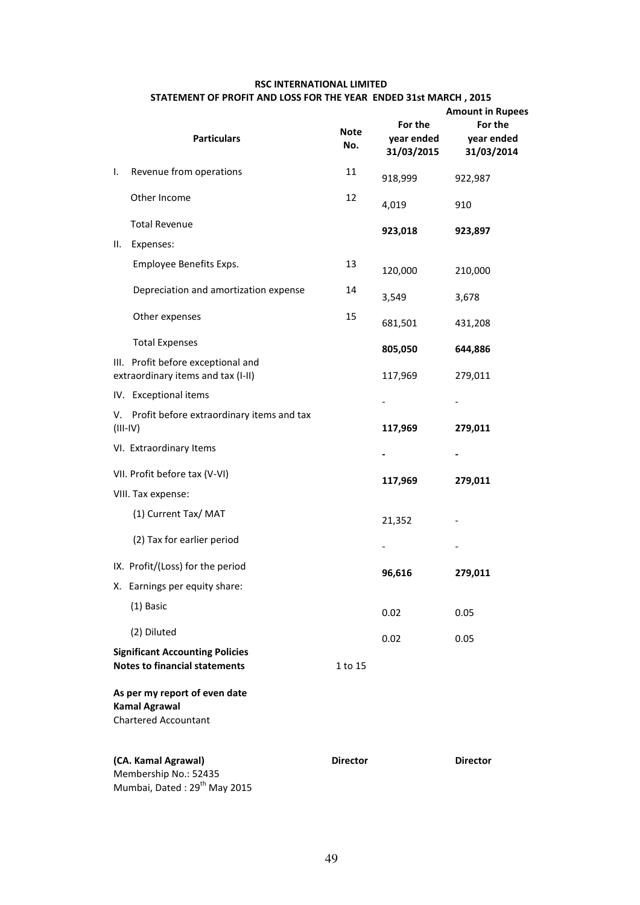## RSC INTERNATIONAL LIMITED

## STATEMENT OF PROFIT AND LOSS FOR THE YEAR ENDED 31st MARCH , 2015

|            |                                                                                          |                    | 99 I ON THE TEAN ENDED 913( INANCH , 2019 | <b>Amount in Rupees</b>             |
|------------|------------------------------------------------------------------------------------------|--------------------|-------------------------------------------|-------------------------------------|
|            | <b>Particulars</b>                                                                       | <b>Note</b><br>No. | For the<br>year ended<br>31/03/2015       | For the<br>year ended<br>31/03/2014 |
| I.         | Revenue from operations                                                                  | 11                 | 918,999                                   | 922,987                             |
|            | Other Income                                                                             | 12                 | 4,019                                     | 910                                 |
|            | <b>Total Revenue</b>                                                                     |                    | 923,018                                   | 923,897                             |
| Ш.         | Expenses:                                                                                |                    |                                           |                                     |
|            | Employee Benefits Exps.                                                                  | 13                 | 120,000                                   | 210,000                             |
|            | Depreciation and amortization expense                                                    | 14                 | 3,549                                     | 3,678                               |
|            | Other expenses                                                                           | 15                 | 681,501                                   | 431,208                             |
|            | <b>Total Expenses</b>                                                                    |                    | 805,050                                   | 644,886                             |
|            | III. Profit before exceptional and<br>extraordinary items and tax (I-II)                 |                    | 117,969                                   | 279,011                             |
|            | IV. Exceptional items                                                                    |                    |                                           |                                     |
| $(III-IV)$ | V. Profit before extraordinary items and tax                                             |                    | 117,969                                   | 279,011                             |
|            | VI. Extraordinary Items                                                                  |                    |                                           |                                     |
|            | VII. Profit before tax (V-VI)                                                            |                    | 117,969                                   | 279,011                             |
|            | VIII. Tax expense:                                                                       |                    |                                           |                                     |
|            | (1) Current Tax/ MAT                                                                     |                    | 21,352                                    |                                     |
|            | (2) Tax for earlier period                                                               |                    |                                           |                                     |
|            | IX. Profit/(Loss) for the period                                                         |                    | 96,616                                    | 279,011                             |
|            | X. Earnings per equity share:                                                            |                    |                                           |                                     |
|            | $(1)$ Basic                                                                              |                    | 0.02                                      | 0.05                                |
|            | (2) Diluted                                                                              |                    | 0.02                                      | 0.05                                |
|            | <b>Significant Accounting Policies</b><br><b>Notes to financial statements</b>           | 1 to 15            |                                           |                                     |
|            | As per my report of even date<br><b>Kamal Agrawal</b><br><b>Chartered Accountant</b>     |                    |                                           |                                     |
|            | (CA. Kamal Agrawal)<br>Membership No.: 52435<br>Mumbai, Dated: 29 <sup>th</sup> May 2015 | <b>Director</b>    |                                           | <b>Director</b>                     |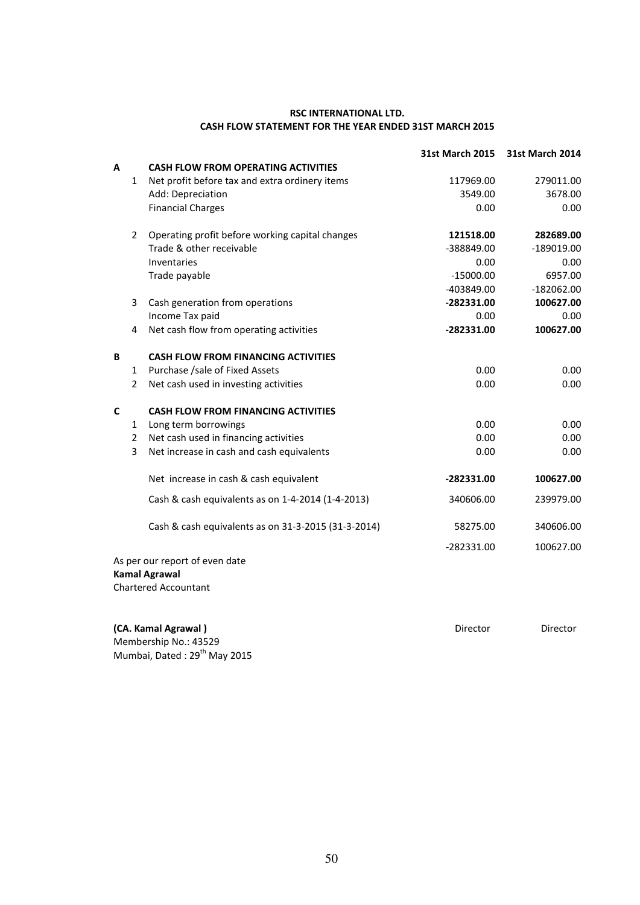#### RSC INTERNATIONAL LTD. CASH FLOW STATEMENT FOR THE YEAR ENDED 31ST MARCH 2015

|              |                |                                                     | <b>31st March 2015</b> | <b>31st March 2014</b> |
|--------------|----------------|-----------------------------------------------------|------------------------|------------------------|
| A            |                | <b>CASH FLOW FROM OPERATING ACTIVITIES</b>          |                        |                        |
|              | $\mathbf{1}$   | Net profit before tax and extra ordinery items      | 117969.00              | 279011.00              |
|              |                | Add: Depreciation                                   | 3549.00                | 3678.00                |
|              |                | <b>Financial Charges</b>                            | 0.00                   | 0.00                   |
|              | $\overline{2}$ | Operating profit before working capital changes     | 121518.00              | 282689.00              |
|              |                | Trade & other receivable                            | -388849.00             | $-189019.00$           |
|              |                | Inventaries                                         | 0.00                   | 0.00                   |
|              |                | Trade payable                                       | $-15000.00$            | 6957.00                |
|              |                |                                                     | -403849.00             | $-182062.00$           |
|              | 3              | Cash generation from operations                     | -282331.00             | 100627.00              |
|              |                | Income Tax paid                                     | 0.00                   | 0.00                   |
|              | 4              | Net cash flow from operating activities             | $-282331.00$           | 100627.00              |
| B            |                | <b>CASH FLOW FROM FINANCING ACTIVITIES</b>          |                        |                        |
|              | $\mathbf{1}$   | Purchase /sale of Fixed Assets                      | 0.00                   | 0.00                   |
|              | $\overline{2}$ | Net cash used in investing activities               | 0.00                   | 0.00                   |
| $\mathsf{C}$ |                | <b>CASH FLOW FROM FINANCING ACTIVITIES</b>          |                        |                        |
|              | 1              | Long term borrowings                                | 0.00                   | 0.00                   |
|              | $\overline{2}$ | Net cash used in financing activities               | 0.00                   | 0.00                   |
|              | 3              | Net increase in cash and cash equivalents           | 0.00                   | 0.00                   |
|              |                | Net increase in cash & cash equivalent              | -282331.00             | 100627.00              |
|              |                | Cash & cash equivalents as on 1-4-2014 (1-4-2013)   | 340606.00              | 239979.00              |
|              |                | Cash & cash equivalents as on 31-3-2015 (31-3-2014) | 58275.00               | 340606.00              |
|              |                |                                                     | $-282331.00$           | 100627.00              |
|              |                | As per our report of even date                      |                        |                        |
|              |                | <b>Kamal Agrawal</b>                                |                        |                        |
|              |                | <b>Chartered Accountant</b>                         |                        |                        |

(CA. Kamal Agrawal ) and the contractor of the Director Director Director Director Membership No.: 43529

Mumbai, Dated: 29<sup>th</sup> May 2015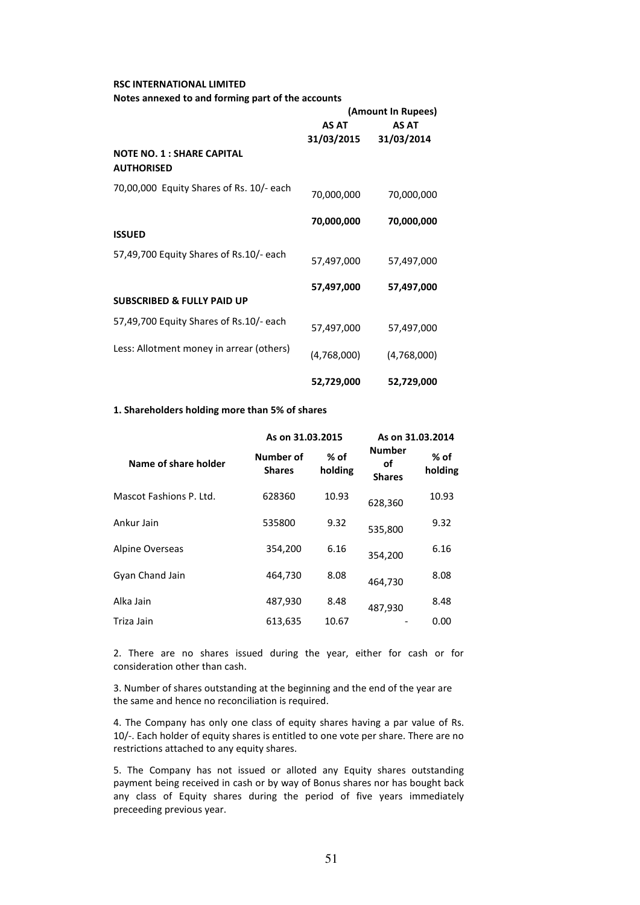#### RSC INTERNATIONAL LIMITED

#### Notes annexed to and forming part of the accounts

|                                                       | (Amount In Rupees) |             |  |  |
|-------------------------------------------------------|--------------------|-------------|--|--|
|                                                       | AS AT<br>AS AT     |             |  |  |
|                                                       | 31/03/2015         | 31/03/2014  |  |  |
| <b>NOTE NO. 1: SHARE CAPITAL</b><br><b>AUTHORISED</b> |                    |             |  |  |
| 70,00,000 Equity Shares of Rs. 10/- each              | 70,000,000         | 70,000,000  |  |  |
|                                                       | 70,000,000         | 70,000,000  |  |  |
| <b>ISSUED</b>                                         |                    |             |  |  |
| 57,49,700 Equity Shares of Rs.10/- each               | 57,497,000         | 57,497,000  |  |  |
|                                                       | 57,497,000         | 57,497,000  |  |  |
| <b>SUBSCRIBED &amp; FULLY PAID UP</b>                 |                    |             |  |  |
| 57,49,700 Equity Shares of Rs.10/- each               | 57,497,000         | 57,497,000  |  |  |
| Less: Allotment money in arrear (others)              | (4,768,000)        | (4,768,000) |  |  |
|                                                       | 52,729,000         | 52,729,000  |  |  |

#### 1. Shareholders holding more than 5% of shares

|                         | As on 31.03.2015           |                   | As on 31.03.2014                     |                   |
|-------------------------|----------------------------|-------------------|--------------------------------------|-------------------|
| Name of share holder    | Number of<br><b>Shares</b> | $%$ of<br>holding | <b>Number</b><br>οf<br><b>Shares</b> | $%$ of<br>holding |
| Mascot Fashions P. Ltd. | 628360                     | 10.93             | 628,360                              | 10.93             |
| Ankur Jain              | 535800                     | 9.32              | 535,800                              | 9.32              |
| Alpine Overseas         | 354,200                    | 6.16              | 354.200                              | 6.16              |
| Gyan Chand Jain         | 464,730                    | 8.08              | 464,730                              | 8.08              |
| Alka Jain               | 487,930                    | 8.48              | 487,930                              | 8.48              |
| Triza Jain              | 613,635                    | 10.67             |                                      | 0.00              |

2. There are no shares issued during the year, either for cash or for consideration other than cash.

3. Number of shares outstanding at the beginning and the end of the year are the same and hence no reconciliation is required.

4. The Company has only one class of equity shares having a par value of Rs. 10/-. Each holder of equity shares is entitled to one vote per share. There are no restrictions attached to any equity shares.

5. The Company has not issued or alloted any Equity shares outstanding payment being received in cash or by way of Bonus shares nor has bought back any class of Equity shares during the period of five years immediately preceeding previous year.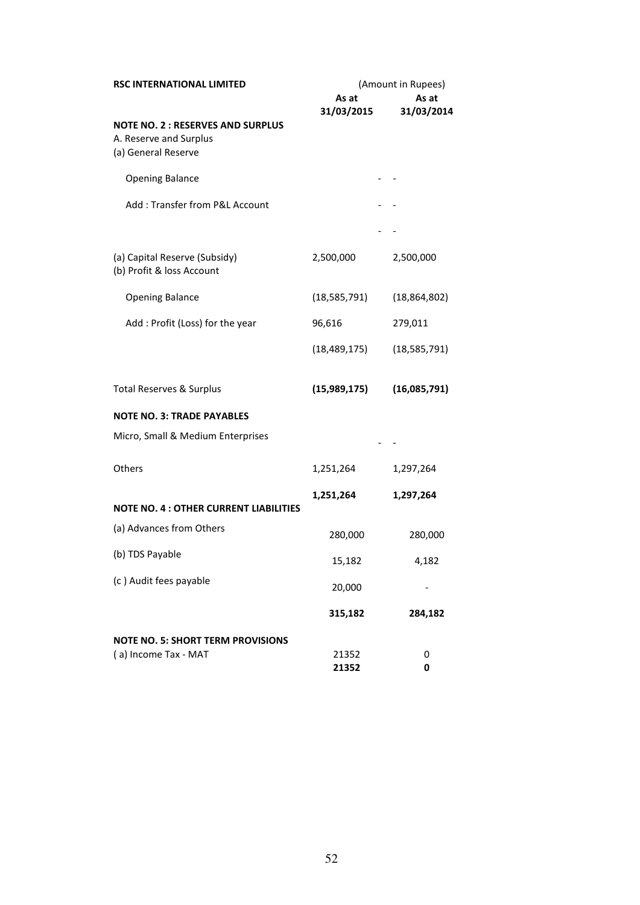| <b>RSC INTERNATIONAL LIMITED</b>                                                         | (Amount in Rupees) |                |  |  |
|------------------------------------------------------------------------------------------|--------------------|----------------|--|--|
|                                                                                          | As at              | As at          |  |  |
| <b>NOTE NO. 2: RESERVES AND SURPLUS</b><br>A. Reserve and Surplus<br>(a) General Reserve | 31/03/2015         | 31/03/2014     |  |  |
| <b>Opening Balance</b>                                                                   |                    |                |  |  |
| Add: Transfer from P&L Account                                                           |                    |                |  |  |
|                                                                                          |                    |                |  |  |
| (a) Capital Reserve (Subsidy)<br>(b) Profit & loss Account                               | 2,500,000          | 2,500,000      |  |  |
| <b>Opening Balance</b>                                                                   | (18, 585, 791)     | (18, 864, 802) |  |  |
| Add : Profit (Loss) for the year                                                         | 96,616             | 279,011        |  |  |
|                                                                                          | (18, 489, 175)     | (18, 585, 791) |  |  |
| <b>Total Reserves &amp; Surplus</b>                                                      | (15,989,175)       | (16,085,791)   |  |  |
| <b>NOTE NO. 3: TRADE PAYABLES</b>                                                        |                    |                |  |  |
| Micro, Small & Medium Enterprises                                                        |                    |                |  |  |
| Others                                                                                   | 1,251,264          | 1,297,264      |  |  |
|                                                                                          | 1,251,264          | 1,297,264      |  |  |
| <b>NOTE NO. 4 : OTHER CURRENT LIABILITIES</b>                                            |                    |                |  |  |
| (a) Advances from Others                                                                 | 280,000            | 280,000        |  |  |
| (b) TDS Payable                                                                          | 15,182             | 4,182          |  |  |
| (c) Audit fees payable                                                                   | 20,000             |                |  |  |
|                                                                                          | 315,182            | 284,182        |  |  |
| <b>NOTE NO. 5: SHORT TERM PROVISIONS</b>                                                 |                    |                |  |  |
| (a) Income Tax - MAT                                                                     | 21352              | 0              |  |  |
|                                                                                          | 21352              | 0              |  |  |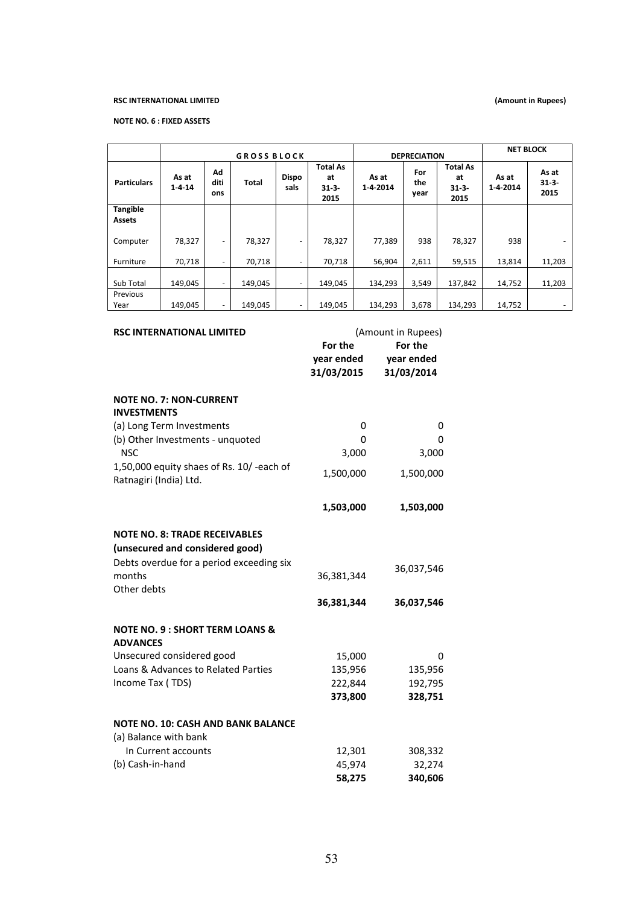#### RSC INTERNATIONAL LIMITED

#### (Amount in Rupees)

#### NOTE NO. 6 : FIXED ASSETS

|                                                                                                                                                                                                           |               | <b>GROSS BLOCK</b><br><b>DEPRECIATION</b> |                                         |                      |                                          | <b>NET BLOCK</b>   |                                     |                                         |                   |                             |
|-----------------------------------------------------------------------------------------------------------------------------------------------------------------------------------------------------------|---------------|-------------------------------------------|-----------------------------------------|----------------------|------------------------------------------|--------------------|-------------------------------------|-----------------------------------------|-------------------|-----------------------------|
| <b>Particulars</b>                                                                                                                                                                                        | As at<br>1414 | Λd<br>diti<br>ons                         | Total                                   | <b>Dispo</b><br>sals | <b>Total As</b><br>at<br>$31-3-$<br>2015 | As at<br>1-4-2014  | For<br>the<br>year                  | <b>Total As</b><br>at<br>$31-3$<br>2015 | As at<br>1-4-2014 | As at<br>$31 - 3 -$<br>2015 |
| <b>Tangible</b><br><b>Assets</b>                                                                                                                                                                          |               |                                           |                                         |                      |                                          |                    |                                     |                                         |                   |                             |
| Computer                                                                                                                                                                                                  | 78,327        | $\overline{\phantom{m}}$                  | 78,327                                  |                      | 78,327                                   | 77,389             | 938                                 | 78,327                                  | 938               |                             |
| Furniture                                                                                                                                                                                                 | 70,718        | $\overline{\phantom{a}}$                  | 70,718                                  |                      | 70,718                                   | 56,904             | 2,611                               | 59,515                                  | 13,814            | 11,203                      |
| Sub Total                                                                                                                                                                                                 | 149,045       | $\blacksquare$                            | 149,045                                 |                      | 149,045                                  | 134,293            | 3,549                               | 137,842                                 | 14,752            | 11,203                      |
| Previous<br>Year                                                                                                                                                                                          | 149,045       |                                           | 149,045                                 |                      | 149,045                                  | 134,293            | 3,678                               | 134,293                                 | 14,752            |                             |
| <b>RSC INTERNATIONAL LIMITED</b>                                                                                                                                                                          |               |                                           |                                         |                      | For the<br>year ended<br>31/03/2015      | (Amount in Rupees) | For the<br>year ended<br>31/03/2014 |                                         |                   |                             |
| <b>NOTE NO. 7: NON-CURRENT</b><br><b>INVESTMENTS</b><br>(a) Long Term Investments<br>(b) Other Investments - unquoted<br><b>NSC</b><br>1,50,000 equity shaes of Rs. 10/-each of<br>Ratnagiri (India) Ltd. |               |                                           | 1,500,000                               | 0<br>0<br>3,000      | 3,000<br>1,500,000                       | 0<br>0             |                                     |                                         |                   |                             |
|                                                                                                                                                                                                           |               |                                           | 1,503,000                               |                      | 1,503,000                                |                    |                                     |                                         |                   |                             |
| <b>NOTE NO. 8: TRADE RECEIVABLES</b><br>(unsecured and considered good)<br>Debts overdue for a period exceeding six                                                                                       |               |                                           |                                         |                      |                                          |                    |                                     |                                         |                   |                             |
| months<br>Other debts                                                                                                                                                                                     |               |                                           |                                         |                      | 36,381,344                               |                    | 36,037,546                          |                                         |                   |                             |
|                                                                                                                                                                                                           |               |                                           |                                         |                      | 36,381,344                               |                    | 36,037,546                          |                                         |                   |                             |
| <b>NOTE NO. 9: SHORT TERM LOANS &amp;</b><br><b>ADVANCES</b><br>Unsecured considered good<br>Loans & Advances to Related Parties<br>Income Tax (TDS)                                                      |               |                                           | 15,000<br>135,956<br>222,844<br>373,800 |                      | 135,956<br>192,795<br>328,751            | 0                  |                                     |                                         |                   |                             |
| <b>NOTE NO. 10: CASH AND BANK BALANCE</b><br>(a) Balance with bank<br>In Currant accounts<br>12.201<br><b>3U8 33J</b>                                                                                     |               |                                           |                                         |                      |                                          |                    |                                     |                                         |                   |                             |

 In Current accounts 12,301 308,332 (b) Cash-in-hand 45,974 32,274 58,275 340,606